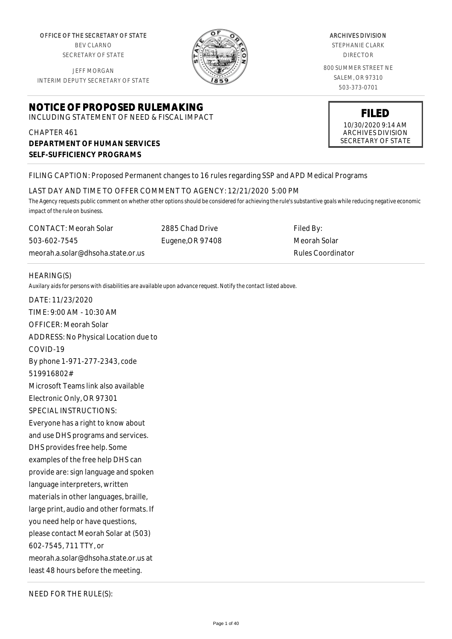OFFICE OF THE SECRETARY OF STATE BEV CLARNO

SECRETARY OF STATE

JEFF MORGAN INTERIM DEPUTY SECRETARY OF STATE

# **NOTICE OF PROPOSED RULEMAKING**

INCLUDING STATEMENT OF NEED & FISCAL IMPACT

# CHAPTER 461 **DEPARTMENT OF HUMAN SERVICES SELF-SUFFICIENCY PROGRAMS**

ARCHIVES DIVISION

STEPHANIE CLARK DIRECTOR

800 SUMMER STREET NE SALEM, OR 97310 503-373-0701

> **FILED** 10/30/2020 9:14 AM ARCHIVES DIVISION SECRETARY OF STATE

## FILING CAPTION: Proposed Permanent changes to 16 rules regarding SSP and APD Medical Programs

LAST DAY AND TIME TO OFFER COMMENT TO AGENCY: 12/21/2020 5:00 PM

*The Agency requests public comment on whether other options should be considered for achieving the rule's substantive goals while reducing negative economic impact of the rule on business.*

CONTACT: Meorah Solar 503-602-7545 meorah.a.solar@dhsoha.state.or.us 2885 Chad Drive Eugene,OR 97408

Filed By: Meorah Solar Rules Coordinator

#### HEARING(S)

*Auxilary aids for persons with disabilities are available upon advance request. Notify the contact listed above.*

DATE: 11/23/2020 TIME: 9:00 AM - 10:30 AM OFFICER: Meorah Solar ADDRESS: No Physical Location due to COVID-19 By phone 1-971-277-2343, code 519916802# Microsoft Teams link also available Electronic Only, OR 97301 SPECIAL INSTRUCTIONS: Everyone has a right to know about and use DHS programs and services. DHS provides free help. Some examples of the free help DHS can provide are: sign language and spoken language interpreters, written materials in other languages, braille, large print, audio and other formats. If you need help or have questions, please contact Meorah Solar at (503) 602-7545, 711 TTY, or meorah.a.solar@dhsoha.state.or.us at least 48 hours before the meeting.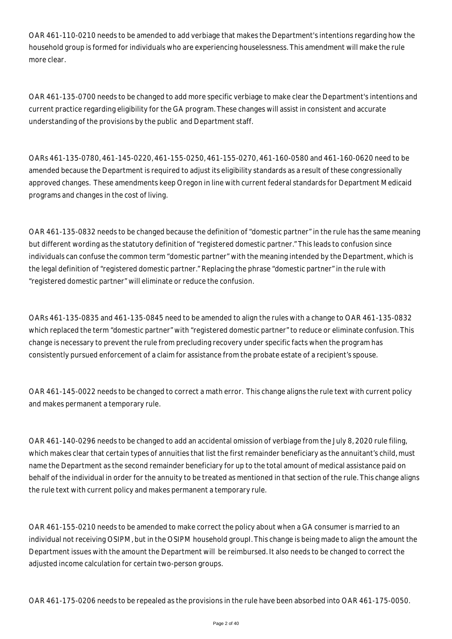OAR 461-110-0210 needs to be amended to add verbiage that makes the Department's intentions regarding how the household group is formed for individuals who are experiencing houselessness. This amendment will make the rule more clear.

OAR 461-135-0700 needs to be changed to add more specific verbiage to make clear the Department's intentions and current practice regarding eligibility for the GA program. These changes will assist in consistent and accurate understanding of the provisions by the public and Department staff.

OARs 461-135-0780, 461-145-0220, 461-155-0250, 461-155-0270, 461-160-0580 and 461-160-0620 need to be amended because the Department is required to adjust its eligibility standards as a result of these congressionally approved changes. These amendments keep Oregon in line with current federal standards for Department Medicaid programs and changes in the cost of living.

OAR 461-135-0832 needs to be changed because the definition of "domestic partner" in the rule has the same meaning but different wording as the statutory definition of "registered domestic partner." This leads to confusion since individuals can confuse the common term "domestic partner" with the meaning intended by the Department, which is the legal definition of "registered domestic partner." Replacing the phrase "domestic partner" in the rule with "registered domestic partner" will eliminate or reduce the confusion.

OARs 461-135-0835 and 461-135-0845 need to be amended to align the rules with a change to OAR 461-135-0832 which replaced the term "domestic partner" with "registered domestic partner" to reduce or eliminate confusion. This change is necessary to prevent the rule from precluding recovery under specific facts when the program has consistently pursued enforcement of a claim for assistance from the probate estate of a recipient's spouse.

OAR 461-145-0022 needs to be changed to correct a math error. This change aligns the rule text with current policy and makes permanent a temporary rule.

OAR 461-140-0296 needs to be changed to add an accidental omission of verbiage from the July 8, 2020 rule filing, which makes clear that certain types of annuities that list the first remainder beneficiary as the annuitant's child, must name the Department as the second remainder beneficiary for up to the total amount of medical assistance paid on behalf of the individual in order for the annuity to be treated as mentioned in that section of the rule. This change aligns the rule text with current policy and makes permanent a temporary rule.

OAR 461-155-0210 needs to be amended to make correct the policy about when a GA consumer is married to an individual not receiving OSIPM, but in the OSIPM household groupI. This change is being made to align the amount the Department issues with the amount the Department will be reimbursed. It also needs to be changed to correct the adjusted income calculation for certain two-person groups.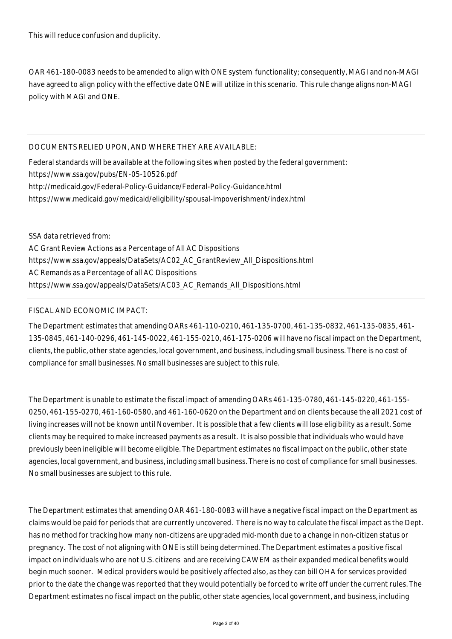OAR 461-180-0083 needs to be amended to align with ONE system functionality; consequently, MAGI and non-MAGI have agreed to align policy with the effective date ONE will utilize in this scenario. This rule change aligns non-MAGI policy with MAGI and ONE.

## DOCUMENTS RELIED UPON, AND WHERE THEY ARE AVAILABLE:

Federal standards will be available at the following sites when posted by the federal government: https://www.ssa.gov/pubs/EN-05-10526.pdf http://medicaid.gov/Federal-Policy-Guidance/Federal-Policy-Guidance.html https://www.medicaid.gov/medicaid/eligibility/spousal-impoverishment/index.html

SSA data retrieved from: AC Grant Review Actions as a Percentage of All AC Dispositions https://www.ssa.gov/appeals/DataSets/AC02\_AC\_GrantReview\_All\_Dispositions.html AC Remands as a Percentage of all AC Dispositions https://www.ssa.gov/appeals/DataSets/AC03\_AC\_Remands\_All\_Dispositions.html

# FISCAL AND ECONOMIC IMPACT:

The Department estimates that amending OARs 461-110-0210, 461-135-0700, 461-135-0832, 461-135-0835, 461- 135-0845, 461-140-0296, 461-145-0022, 461-155-0210, 461-175-0206 will have no fiscal impact on the Department, clients, the public, other state agencies, local government, and business, including small business. There is no cost of compliance for small businesses. No small businesses are subject to this rule.

The Department is unable to estimate the fiscal impact of amending OARs 461-135-0780, 461-145-0220, 461-155- 0250, 461-155-0270, 461-160-0580, and 461-160-0620 on the Department and on clients because the all 2021 cost of living increases will not be known until November. It is possible that a few clients will lose eligibility as a result. Some clients may be required to make increased payments as a result. It is also possible that individuals who would have previously been ineligible will become eligible. The Department estimates no fiscal impact on the public, other state agencies, local government, and business, including small business. There is no cost of compliance for small businesses. No small businesses are subject to this rule.

The Department estimates that amending OAR 461-180-0083 will have a negative fiscal impact on the Department as claims would be paid for periods that are currently uncovered. There is no way to calculate the fiscal impact as the Dept. has no method for tracking how many non-citizens are upgraded mid-month due to a change in non-citizen status or pregnancy. The cost of not aligning with ONE is still being determined. The Department estimates a positive fiscal impact on individuals who are not U.S. citizens and are receiving CAWEM as their expanded medical benefits would begin much sooner. Medical providers would be positively affected also, as they can bill OHA for services provided prior to the date the change was reported that they would potentially be forced to write off under the current rules. The Department estimates no fiscal impact on the public, other state agencies, local government, and business, including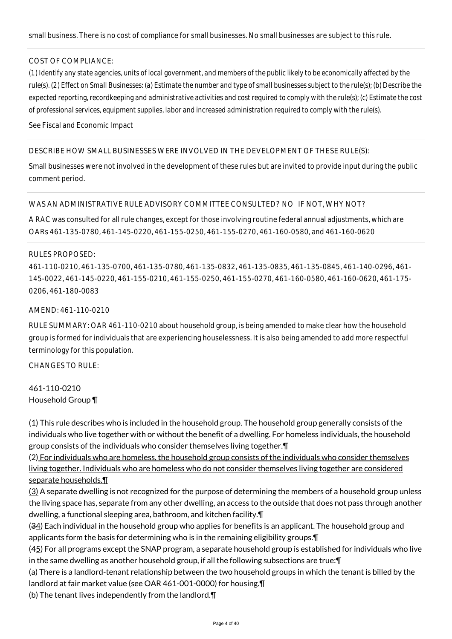#### COST OF COMPLIANCE:

*(1) Identify any state agencies, units of local government, and members of the public likely to be economically affected by the rule(s). (2) Effect on Small Businesses: (a) Estimate the number and type of small businesses subject to the rule(s); (b) Describe the expected reporting, recordkeeping and administrative activities and cost required to comply with the rule(s); (c) Estimate the cost of professional services, equipment supplies, labor and increased administration required to comply with the rule(s).*

See Fiscal and Economic Impact

#### DESCRIBE HOW SMALL BUSINESSES WERE INVOLVED IN THE DEVELOPMENT OF THESE RULE(S):

Small businesses were not involved in the development of these rules but are invited to provide input during the public comment period.

#### WAS AN ADMINISTRATIVE RULE ADVISORY COMMITTEE CONSULTED? NO IF NOT, WHY NOT?

A RAC was consulted for all rule changes, except for those involving routine federal annual adjustments, which are OARs 461-135-0780, 461-145-0220, 461-155-0250, 461-155-0270, 461-160-0580, and 461-160-0620

#### RULES PROPOSED:

461-110-0210, 461-135-0700, 461-135-0780, 461-135-0832, 461-135-0835, 461-135-0845, 461-140-0296, 461- 145-0022, 461-145-0220, 461-155-0210, 461-155-0250, 461-155-0270, 461-160-0580, 461-160-0620, 461-175- 0206, 461-180-0083

#### AMEND: 461-110-0210

RULE SUMMARY: OAR 461-110-0210 about household group, is being amended to make clear how the household group is formed for individuals that are experiencing houselessness. It is also being amended to add more respectful terminology for this population.

CHANGES TO RULE:

# 461-110-0210 Household Group ¶

(1) This rule describes who is included in the household group. The household group generally consists of the individuals who live together with or without the benefit of a dwelling. For homeless individuals, the household group consists of the individuals who consider themselves living together.¶

(2) For individuals who are homeless, the household group consists of the individuals who consider themselves living together. Individuals who are homeless who do not consider themselves living together are considered separate households.¶

 $(3)$  A separate dwelling is not recognized for the purpose of determining the members of a household group unless the living space has, separate from any other dwelling, an access to the outside that does not pass through another dwelling, a functional sleeping area, bathroom, and kitchen facility.¶

(34) Each individual in the household group who applies for benefits is an applicant. The household group and applicants form the basis for determining who is in the remaining eligibility groups.¶

(45) For all programs except the SNAP program, a separate household group is established for individuals who live in the same dwelling as another household group, if all the following subsections are true:¶

(a) There is a landlord-tenant relationship between the two household groups in which the tenant is billed by the landlord at fair market value (see OAR 461-001-0000) for housing.¶

(b) The tenant lives independently from the landlord.¶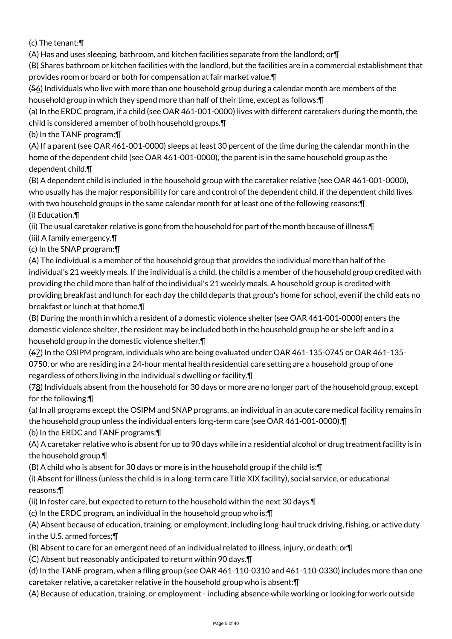(c) The tenant:¶

(A) Has and uses sleeping, bathroom, and kitchen facilities separate from the landlord; or¶

(B) Shares bathroom or kitchen facilities with the landlord, but the facilities are in a commercial establishment that provides room or board or both for compensation at fair market value.¶

(56) Individuals who live with more than one household group during a calendar month are members of the household group in which they spend more than half of their time, except as follows:¶

(a) In the ERDC program, if a child (see OAR 461-001-0000) lives with different caretakers during the month, the child is considered a member of both household groups.¶

(b) In the TANF program:¶

(A) If a parent (see OAR 461-001-0000) sleeps at least 30 percent of the time during the calendar month in the home of the dependent child (see OAR 461-001-0000), the parent is in the same household group as the dependent child.¶

(B) A dependent child is included in the household group with the caretaker relative (see OAR 461-001-0000), who usually has the major responsibility for care and control of the dependent child, if the dependent child lives with two household groups in the same calendar month for at least one of the following reasons:¶ (i) Education.¶

(ii) The usual caretaker relative is gone from the household for part of the month because of illness.¶

(iii) A family emergency.¶

(c) In the SNAP program:¶

(A) The individual is a member of the household group that provides the individual more than half of the individual's 21 weekly meals. If the individual is a child, the child is a member of the household group credited with providing the child more than half of the individual's 21 weekly meals. A household group is credited with providing breakfast and lunch for each day the child departs that group's home for school, even if the child eats no breakfast or lunch at that home.¶

(B) During the month in which a resident of a domestic violence shelter (see OAR 461-001-0000) enters the domestic violence shelter, the resident may be included both in the household group he or she left and in a household group in the domestic violence shelter.¶

(67) In the OSIPM program, individuals who are being evaluated under OAR 461-135-0745 or OAR 461-135- 0750, or who are residing in a 24-hour mental health residential care setting are a household group of one regardless of others living in the individual's dwelling or facility.¶

(78) Individuals absent from the household for 30 days or more are no longer part of the household group, except for the following:¶

(a) In all programs except the OSIPM and SNAP programs, an individual in an acute care medical facility remains in the household group unless the individual enters long-term care (see OAR 461-001-0000).¶

(b) In the ERDC and TANF programs:¶

(A) A caretaker relative who is absent for up to 90 days while in a residential alcohol or drug treatment facility is in the household group.¶

(B) A child who is absent for 30 days or more is in the household group if the child is:¶

(i) Absent for illness (unless the child is in a long-term care Title XIX facility), social service, or educational reasons;¶

(ii) In foster care, but expected to return to the household within the next 30 days.¶

(c) In the ERDC program, an individual in the household group who is:¶

(A) Absent because of education, training, or employment, including long-haul truck driving, fishing, or active duty in the U.S. armed forces;¶

(B) Absent to care for an emergent need of an individual related to illness, injury, or death; or¶

(C) Absent but reasonably anticipated to return within 90 days.¶

(d) In the TANF program, when a filing group (see OAR 461-110-0310 and 461-110-0330) includes more than one caretaker relative, a caretaker relative in the household group who is absent:¶

(A) Because of education, training, or employment - including absence while working or looking for work outside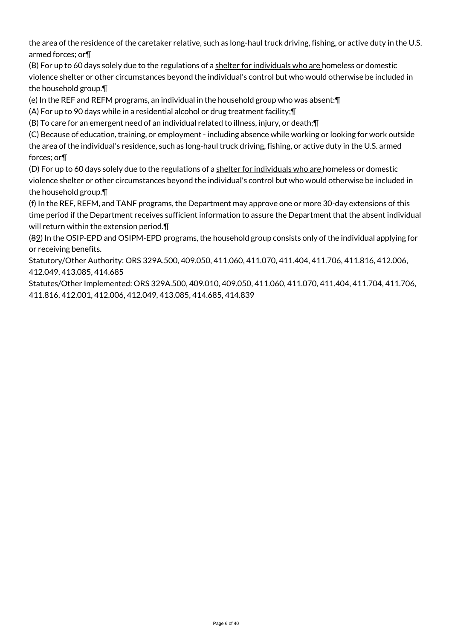the area of the residence of the caretaker relative, such as long-haul truck driving, fishing, or active duty in the U.S. armed forces; or¶

(B) For up to 60 days solely due to the regulations of a shelter for individuals who are homeless or domestic violence shelter or other circumstances beyond the individual's control but who would otherwise be included in the household group.¶

(e) In the REF and REFM programs, an individual in the household group who was absent:¶

(A) For up to 90 days while in a residential alcohol or drug treatment facility;¶

(B) To care for an emergent need of an individual related to illness, injury, or death;¶

(C) Because of education, training, or employment - including absence while working or looking for work outside the area of the individual's residence, such as long-haul truck driving, fishing, or active duty in the U.S. armed forces; or¶

(D) For up to 60 days solely due to the regulations of a shelter for individuals who are homeless or domestic violence shelter or other circumstances beyond the individual's control but who would otherwise be included in the household group.¶

(f) In the REF, REFM, and TANF programs, the Department may approve one or more 30-day extensions of this time period if the Department receives sufficient information to assure the Department that the absent individual will return within the extension period.¶

(89) In the OSIP-EPD and OSIPM-EPD programs, the household group consists only of the individual applying for or receiving benefits.

Statutory/Other Authority: ORS 329A.500, 409.050, 411.060, 411.070, 411.404, 411.706, 411.816, 412.006, 412.049, 413.085, 414.685

Statutes/Other Implemented: ORS 329A.500, 409.010, 409.050, 411.060, 411.070, 411.404, 411.704, 411.706, 411.816, 412.001, 412.006, 412.049, 413.085, 414.685, 414.839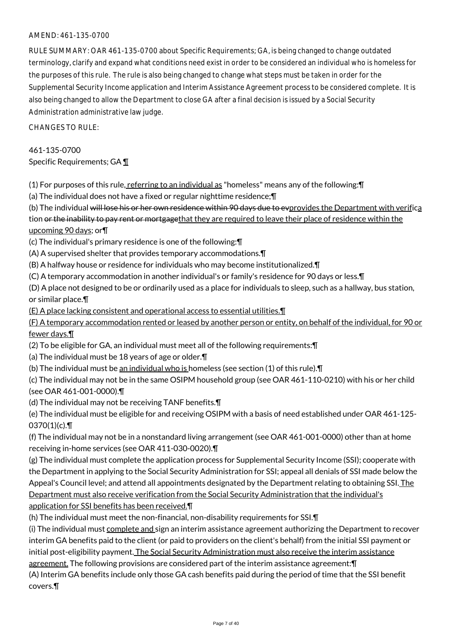## AMEND: 461-135-0700

RULE SUMMARY: OAR 461-135-0700 about Specific Requirements; GA, is being changed to change outdated terminology, clarify and expand what conditions need exist in order to be considered an individual who is homeless for the purposes of this rule. The rule is also being changed to change what steps must be taken in order for the Supplemental Security Income application and Interim Assistance Agreement process to be considered complete. It is also being changed to allow the Department to close GA after a final decision is issued by a Social Security Administration administrative law judge.

CHANGES TO RULE:

461-135-0700 Specific Requirements; GA ¶

(1) For purposes of this rule, referring to an individual as "homeless" means any of the following:  $\P$ 

(a) The individual does not have a fixed or regular nighttime residence;¶

(b) The individual will lose his or her own residence within 90 days due to evprovides the Department with verifica tion or the inability to pay rent or mortgagethat they are required to leave their place of residence within the upcoming 90 days; or¶

- (c) The individual's primary residence is one of the following:¶
- (A) A supervised shelter that provides temporary accommodations.¶
- (B) A halfway house or residence for individuals who may become institutionalized.¶

(C) A temporary accommodation in another individual's or family's residence for 90 days or less.¶

(D) A place not designed to be or ordinarily used as a place for individuals to sleep, such as a hallway, bus station, or similar place.¶

(E) A place lacking consistent and operational access to essential utilities.¶

(F) A temporary accommodation rented or leased by another person or entity, on behalf of the individual, for 90 or fewer days.¶

(2) To be eligible for GA, an individual must meet all of the following requirements:¶

- (a) The individual must be 18 years of age or older.¶
- (b) The individual must be an individual who is homeless (see section (1) of this rule).¶

(c) The individual may not be in the same OSIPM household group (see OAR 461-110-0210) with his or her child (see OAR 461-001-0000).¶

(d) The individual may not be receiving TANF benefits.¶

(e) The individual must be eligible for and receiving OSIPM with a basis of need established under OAR 461-125-  $0370(1)(c)$ . T

(f) The individual may not be in a nonstandard living arrangement (see OAR 461-001-0000) other than at home receiving in-home services (see OAR 411-030-0020).¶

(g) The individual must complete the application process for Supplemental Security Income (SSI); cooperate with the Department in applying to the Social Security Administration for SSI; appeal all denials of SSI made below the Appeal's Council level; and attend all appointments designated by the Department relating to obtaining SSI. The Department must also receive verification from the Social Security Administration that the individual's application for SSI benefits has been received.¶

(h) The individual must meet the non-financial, non-disability requirements for SSI.¶

(i) The individual must complete and sign an interim assistance agreement authorizing the Department to recover interim GA benefits paid to the client (or paid to providers on the client's behalf) from the initial SSI payment or initial post-eligibility payment. The Social Security Administration must also receive the interim assistance agreement. The following provisions are considered part of the interim assistance agreement: ¶

(A) Interim GA benefits include only those GA cash benefits paid during the period of time that the SSI benefit covers.¶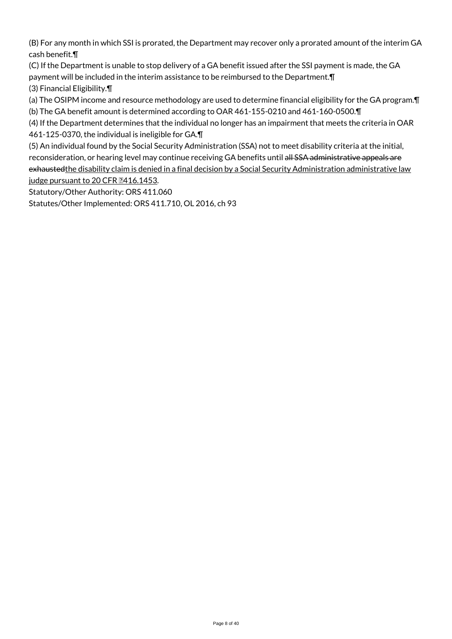(B) For any month in which SSI is prorated, the Department may recover only a prorated amount of the interim GA cash benefit.¶

(C) If the Department is unable to stop delivery of a GA benefit issued after the SSI payment is made, the GA payment will be included in the interim assistance to be reimbursed to the Department.¶ (3) Financial Eligibility.¶

(a) The OSIPM income and resource methodology are used to determine financial eligibility for the GA program.¶

(b) The GA benefit amount is determined according to OAR 461-155-0210 and 461-160-0500.¶

(4) If the Department determines that the individual no longer has an impairment that meets the criteria in OAR 461-125-0370, the individual is ineligible for GA.¶

(5) An individual found by the Social Security Administration (SSA) not to meet disability criteria at the initial, reconsideration, or hearing level may continue receiving GA benefits until all SSA administrative appeals are exhaustedthe disability claim is denied in a final decision by a Social Security Administration administrative law judge pursuant to 20 CFR 2416.1453.

Statutory/Other Authority: ORS 411.060

Statutes/Other Implemented: ORS 411.710, OL 2016, ch 93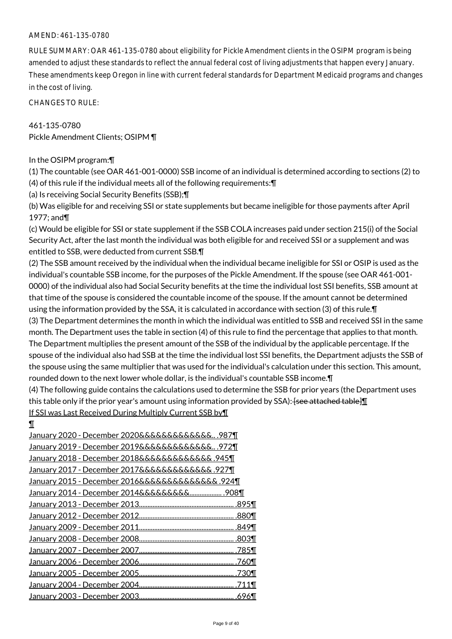#### AMEND: 461-135-0780

RULE SUMMARY: OAR 461-135-0780 about eligibility for Pickle Amendment clients in the OSIPM program is being amended to adjust these standards to reflect the annual federal cost of living adjustments that happen every January. These amendments keep Oregon in line with current federal standards for Department Medicaid programs and changes in the cost of living.

CHANGES TO RULE:

461-135-0780 Pickle Amendment Clients; OSIPM ¶

#### In the OSIPM program:¶

(1) The countable (see OAR 461-001-0000) SSB income of an individual is determined according to sections (2) to (4) of this rule if the individual meets all of the following requirements:¶

(a) Is receiving Social Security Benefits (SSB);¶

(b) Was eligible for and receiving SSI or state supplements but became ineligible for those payments after April 1977; and¶

(c) Would be eligible for SSI or state supplement if the SSB COLA increases paid under section 215(i) of the Social Security Act, after the last month the individual was both eligible for and received SSI or a supplement and was entitled to SSB, were deducted from current SSB.¶

(2) The SSB amount received by the individual when the individual became ineligible for SSI or OSIP is used as the individual's countable SSB income, for the purposes of the Pickle Amendment. If the spouse (see OAR 461-001- 0000) of the individual also had Social Security benefits at the time the individual lost SSI benefits, SSB amount at that time of the spouse is considered the countable income of the spouse. If the amount cannot be determined using the information provided by the SSA, it is calculated in accordance with section (3) of this rule.¶ (3) The Department determines the month in which the individual was entitled to SSB and received SSI in the same month. The Department uses the table in section (4) of this rule to find the percentage that applies to that month. The Department multiplies the present amount of the SSB of the individual by the applicable percentage. If the spouse of the individual also had SSB at the time the individual lost SSI benefits, the Department adjusts the SSB of the spouse using the same multiplier that was used for the individual's calculation under this section. This amount, rounded down to the next lower whole dollar, is the individual's countable SSB income.¶

(4) The following guide contains the calculations used to determine the SSB for prior years (the Department uses this table only if the prior year's amount using information provided by  $SSA$ ): <del>[see attached table]</del>  $\mathbb I$ If SSI was Last Received During Multiply Current SSB by¶

¶

| January 2020 - December 2020&&&&&&&&&&&& 987¶    |       |
|--------------------------------------------------|-------|
| January 2019 - December 2019&&&&&&&&&&&& 972¶    |       |
| January 2018 - December 2018&&&&&&&&&&&& .945¶   |       |
| January 2017 - December 2017&&&&&&&&&&&& .927¶   |       |
| January 2015 - December 2016&&&&&&&&&&&&&& .924¶ |       |
| January 2014 - December 2014&&&&&&&&& . 908¶     |       |
|                                                  |       |
|                                                  |       |
|                                                  |       |
|                                                  |       |
|                                                  | .785¶ |
|                                                  | .760¶ |
|                                                  | .730¶ |
|                                                  | .711¶ |
|                                                  |       |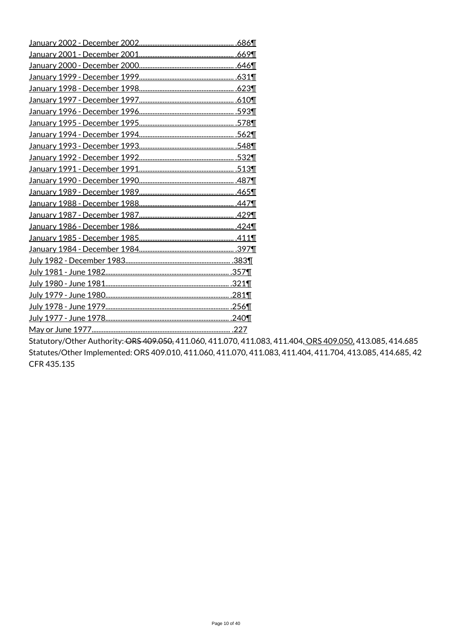Statutory/Other Authority: ORS 409.050, 411.060, 411.070, 411.083, 411.404, ORS 409.050, 413.085, 414.685 Statutes/Other Implemented: ORS 409.010, 411.060, 411.070, 411.083, 411.404, 411.704, 413.085, 414.685, 42 CFR 435.135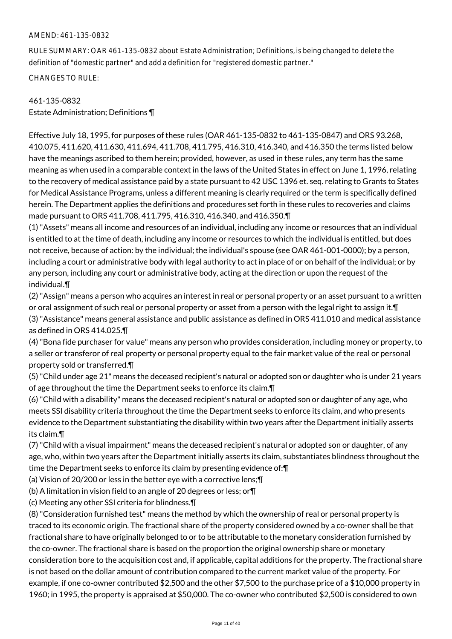#### AMEND: 461-135-0832

RULE SUMMARY: OAR 461-135-0832 about Estate Administration; Definitions, is being changed to delete the definition of "domestic partner" and add a definition for "registered domestic partner."

CHANGES TO RULE:

# 461-135-0832

Estate Administration; Definitions ¶

Effective July 18, 1995, for purposes of these rules (OAR 461-135-0832 to 461-135-0847) and ORS 93.268, 410.075, 411.620, 411.630, 411.694, 411.708, 411.795, 416.310, 416.340, and 416.350 the terms listed below have the meanings ascribed to them herein; provided, however, as used in these rules, any term has the same meaning as when used in a comparable context in the laws of the United States in effect on June 1, 1996, relating to the recovery of medical assistance paid by a state pursuant to 42 USC 1396 et. seq. relating to Grants to States for Medical Assistance Programs, unless a different meaning is clearly required or the term is specifically defined herein. The Department applies the definitions and procedures set forth in these rules to recoveries and claims made pursuant to ORS 411.708, 411.795, 416.310, 416.340, and 416.350.¶

(1) "Assets" means all income and resources of an individual, including any income or resources that an individual is entitled to at the time of death, including any income or resources to which the individual is entitled, but does not receive, because of action: by the individual; the individual's spouse (see OAR 461-001-0000); by a person, including a court or administrative body with legal authority to act in place of or on behalf of the individual; or by any person, including any court or administrative body, acting at the direction or upon the request of the individual.¶

(2) "Assign" means a person who acquires an interest in real or personal property or an asset pursuant to a written or oral assignment of such real or personal property or asset from a person with the legal right to assign it.¶ (3) "Assistance" means general assistance and public assistance as defined in ORS 411.010 and medical assistance as defined in ORS 414.025.¶

(4) "Bona fide purchaser for value" means any person who provides consideration, including money or property, to a seller or transferor of real property or personal property equal to the fair market value of the real or personal property sold or transferred.¶

(5) "Child under age 21" means the deceased recipient's natural or adopted son or daughter who is under 21 years of age throughout the time the Department seeks to enforce its claim.¶

(6) "Child with a disability" means the deceased recipient's natural or adopted son or daughter of any age, who meets SSI disability criteria throughout the time the Department seeks to enforce its claim, and who presents evidence to the Department substantiating the disability within two years after the Department initially asserts its claim.¶

(7) "Child with a visual impairment" means the deceased recipient's natural or adopted son or daughter, of any age, who, within two years after the Department initially asserts its claim, substantiates blindness throughout the time the Department seeks to enforce its claim by presenting evidence of:¶

(a) Vision of 20/200 or less in the better eye with a corrective lens;¶

(b) A limitation in vision field to an angle of 20 degrees or less; or¶

(c) Meeting any other SSI criteria for blindness.¶

(8) "Consideration furnished test" means the method by which the ownership of real or personal property is traced to its economic origin. The fractional share of the property considered owned by a co-owner shall be that fractional share to have originally belonged to or to be attributable to the monetary consideration furnished by the co-owner. The fractional share is based on the proportion the original ownership share or monetary consideration bore to the acquisition cost and, if applicable, capital additions for the property. The fractional share is not based on the dollar amount of contribution compared to the current market value of the property. For example, if one co-owner contributed \$2,500 and the other \$7,500 to the purchase price of a \$10,000 property in 1960; in 1995, the property is appraised at \$50,000. The co-owner who contributed \$2,500 is considered to own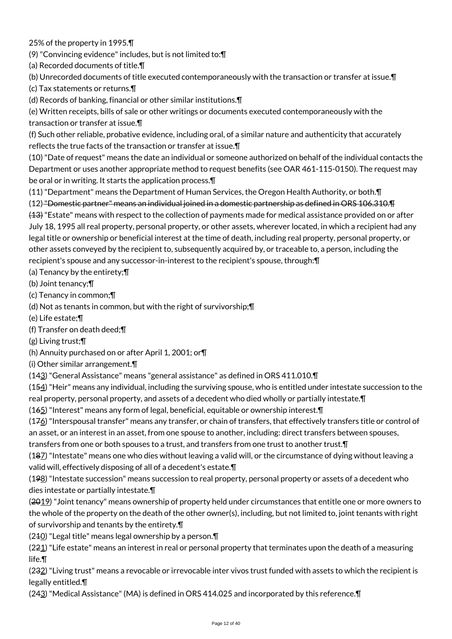# 25% of the property in 1995.¶

(9) "Convincing evidence" includes, but is not limited to:¶

- (a) Recorded documents of title.¶
- (b) Unrecorded documents of title executed contemporaneously with the transaction or transfer at issue.¶
- (c) Tax statements or returns.¶

(d) Records of banking, financial or other similar institutions.¶

(e) Written receipts, bills of sale or other writings or documents executed contemporaneously with the transaction or transfer at issue.¶

(f) Such other reliable, probative evidence, including oral, of a similar nature and authenticity that accurately reflects the true facts of the transaction or transfer at issue.¶

(10) "Date of request" means the date an individual or someone authorized on behalf of the individual contacts the Department or uses another appropriate method to request benefits (see OAR 461-115-0150). The request may be oral or in writing. It starts the application process.¶

(11) "Department" means the Department of Human Services, the Oregon Health Authority, or both.¶

(12) "Domestic partner" means an individual joined in a domestic partnership as defined in ORS 106.310.¶

(13) "Estate" means with respect to the collection of payments made for medical assistance provided on or after July 18, 1995 all real property, personal property, or other assets, wherever located, in which a recipient had any legal title or ownership or beneficial interest at the time of death, including real property, personal property, or other assets conveyed by the recipient to, subsequently acquired by, or traceable to, a person, including the recipient's spouse and any successor-in-interest to the recipient's spouse, through:¶

# (a) Tenancy by the entirety;¶

(b) Joint tenancy;¶

- (c) Tenancy in common;¶
- (d) Not as tenants in common, but with the right of survivorship;¶
- (e) Life estate;¶
- (f) Transfer on death deed;¶
- (g) Living trust;¶
- (h) Annuity purchased on or after April 1, 2001; or¶
- (i) Other similar arrangement.¶

(143) "General Assistance" means "general assistance" as defined in ORS 411.010.¶

(154) "Heir" means any individual, including the surviving spouse, who is entitled under intestate succession to the real property, personal property, and assets of a decedent who died wholly or partially intestate.¶

(165) "Interest" means any form of legal, beneficial, equitable or ownership interest.¶

 $(176)$  "Interspousal transfer" means any transfer, or chain of transfers, that effectively transfers title or control of an asset, or an interest in an asset, from one spouse to another, including: direct transfers between spouses,

transfers from one or both spouses to a trust, and transfers from one trust to another trust.¶

(187) "Intestate" means one who dies without leaving a valid will, or the circumstance of dying without leaving a valid will, effectively disposing of all of a decedent's estate.¶

(198) "Intestate succession" means succession to real property, personal property or assets of a decedent who dies intestate or partially intestate.¶

(2019) "Joint tenancy" means ownership of property held under circumstances that entitle one or more owners to the whole of the property on the death of the other owner(s), including, but not limited to, joint tenants with right of survivorship and tenants by the entirety.¶

(210) "Legal title" means legal ownership by a person.¶

(221) "Life estate" means an interest in real or personal property that terminates upon the death of a measuring life.¶

(232) "Living trust" means a revocable or irrevocable inter vivos trust funded with assets to which the recipient is legally entitled.¶

(243) "Medical Assistance" (MA) is defined in ORS 414.025 and incorporated by this reference.¶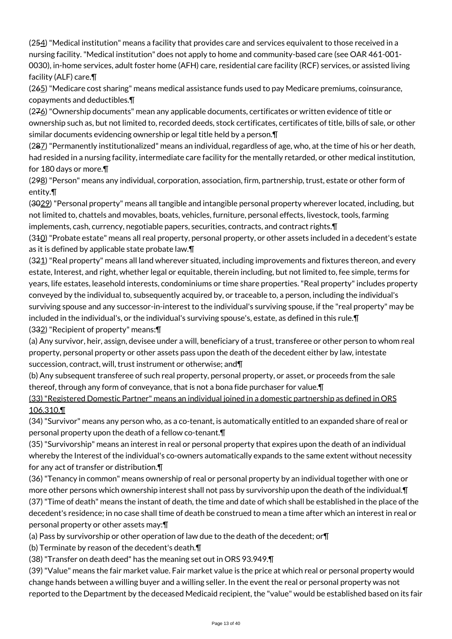(254) "Medical institution" means a facility that provides care and services equivalent to those received in a nursing facility. "Medical institution" does not apply to home and community-based care (see OAR 461-001- 0030), in-home services, adult foster home (AFH) care, residential care facility (RCF) services, or assisted living facility (ALF) care.¶

(265) "Medicare cost sharing" means medical assistance funds used to pay Medicare premiums, coinsurance, copayments and deductibles.¶

(276) "Ownership documents" mean any applicable documents, certificates or written evidence of title or ownership such as, but not limited to, recorded deeds, stock certificates, certificates of title, bills of sale, or other similar documents evidencing ownership or legal title held by a person.¶

(287) "Permanently institutionalized" means an individual, regardless of age, who, at the time of his or her death, had resided in a nursing facility, intermediate care facility for the mentally retarded, or other medical institution, for 180 days or more.¶

(298) "Person" means any individual, corporation, association, firm, partnership, trust, estate or other form of entity.¶

(3029) "Personal property" means all tangible and intangible personal property wherever located, including, but not limited to, chattels and movables, boats, vehicles, furniture, personal effects, livestock, tools, farming implements, cash, currency, negotiable papers, securities, contracts, and contract rights.

(310) "Probate estate" means all real property, personal property, or other assets included in a decedent's estate as it is defined by applicable state probate law.¶

(321) "Real property" means all land wherever situated, including improvements and fixtures thereon, and every estate, Interest, and right, whether legal or equitable, therein including, but not limited to, fee simple, terms for years, life estates, leasehold interests, condominiums or time share properties. "Real property" includes property conveyed by the individual to, subsequently acquired by, or traceable to, a person, including the individual's surviving spouse and any successor-in-interest to the individual's surviving spouse, if the "real property" may be included in the individual's, or the individual's surviving spouse's, estate, as defined in this rule.¶ (332) "Recipient of property" means:¶

(a) Any survivor, heir, assign, devisee under a will, beneficiary of a trust, transferee or other person to whom real property, personal property or other assets pass upon the death of the decedent either by law, intestate succession, contract, will, trust instrument or otherwise; and¶

(b) Any subsequent transferee of such real property, personal property, or asset, or proceeds from the sale thereof, through any form of conveyance, that is not a bona fide purchaser for value.¶

(33) "Registered Domestic Partner" means an individual joined in a domestic partnership as defined in ORS 106.310.¶

(34) "Survivor" means any person who, as a co-tenant, is automatically entitled to an expanded share of real or personal property upon the death of a fellow co-tenant.¶

(35) "Survivorship" means an interest in real or personal property that expires upon the death of an individual whereby the Interest of the individual's co-owners automatically expands to the same extent without necessity for any act of transfer or distribution.¶

(36) "Tenancy in common" means ownership of real or personal property by an individual together with one or more other persons which ownership interest shall not pass by survivorship upon the death of the individual.¶ (37) "Time of death" means the instant of death, the time and date of which shall be established in the place of the decedent's residence; in no case shall time of death be construed to mean a time after which an interest in real or personal property or other assets may:¶

(a) Pass by survivorship or other operation of law due to the death of the decedent; or¶

(b) Terminate by reason of the decedent's death.¶

(38) "Transfer on death deed" has the meaning set out in ORS 93.949.¶

(39) "Value" means the fair market value. Fair market value is the price at which real or personal property would change hands between a willing buyer and a willing seller. In the event the real or personal property was not reported to the Department by the deceased Medicaid recipient, the "value" would be established based on its fair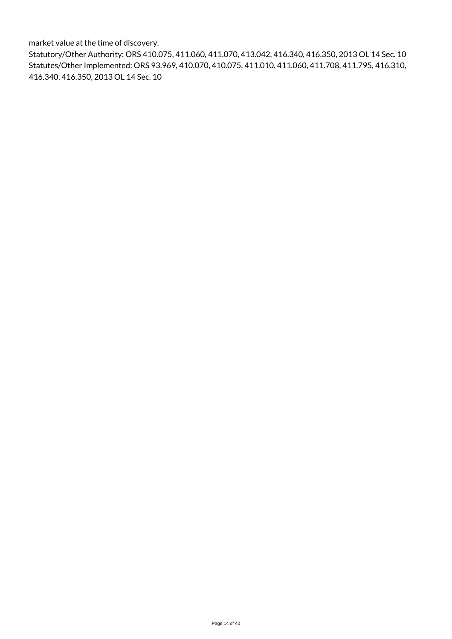market value at the time of discovery.

Statutory/Other Authority: ORS 410.075, 411.060, 411.070, 413.042, 416.340, 416.350, 2013 OL 14 Sec. 10 Statutes/Other Implemented: ORS 93.969, 410.070, 410.075, 411.010, 411.060, 411.708, 411.795, 416.310, 416.340, 416.350, 2013 OL 14 Sec. 10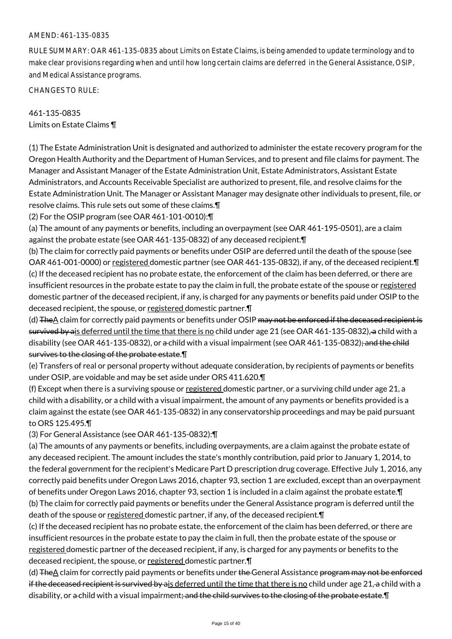#### AMEND: 461-135-0835

RULE SUMMARY: OAR 461-135-0835 about Limits on Estate Claims, is being amended to update terminology and to make clear provisions regarding when and until how long certain claims are deferred in the General Assistance, OSIP, and Medical Assistance programs.

CHANGES TO RULE:

461-135-0835 Limits on Estate Claims ¶

(1) The Estate Administration Unit is designated and authorized to administer the estate recovery program for the Oregon Health Authority and the Department of Human Services, and to present and file claims for payment. The Manager and Assistant Manager of the Estate Administration Unit, Estate Administrators, Assistant Estate Administrators, and Accounts Receivable Specialist are authorized to present, file, and resolve claims for the Estate Administration Unit. The Manager or Assistant Manager may designate other individuals to present, file, or resolve claims. This rule sets out some of these claims.¶

(2) For the OSIP program (see OAR 461-101-0010):¶

(a) The amount of any payments or benefits, including an overpayment (see OAR 461-195-0501), are a claim against the probate estate (see OAR 461-135-0832) of any deceased recipient.¶

(b) The claim for correctly paid payments or benefits under OSIP are deferred until the death of the spouse (see OAR 461-001-0000) or registered domestic partner (see OAR 461-135-0832), if any, of the deceased recipient.¶ (c) If the deceased recipient has no probate estate, the enforcement of the claim has been deferred, or there are insufficient resources in the probate estate to pay the claim in full, the probate estate of the spouse or registered domestic partner of the deceased recipient, if any, is charged for any payments or benefits paid under OSIP to the deceased recipient, the spouse, or registered domestic partner.¶

(d) The A claim for correctly paid payments or benefits under OSIP may not be enforced if the deceased recipient is survived by ais deferred until the time that there is no child under age 21 (see OAR 461-135-0832), a child with a disability (see OAR 461-135-0832), or a-child with a visual impairment (see OAR 461-135-0832)<del>; and the child</del> survives to the closing of the probate estate.¶

(e) Transfers of real or personal property without adequate consideration, by recipients of payments or benefits under OSIP, are voidable and may be set aside under ORS 411.620.¶

(f) Except when there is a surviving spouse or registered domestic partner, or a surviving child under age 21, a child with a disability, or a child with a visual impairment, the amount of any payments or benefits provided is a claim against the estate (see OAR 461-135-0832) in any conservatorship proceedings and may be paid pursuant to ORS 125.495.¶

(3) For General Assistance (see OAR 461-135-0832):¶

(a) The amounts of any payments or benefits, including overpayments, are a claim against the probate estate of any deceased recipient. The amount includes the state's monthly contribution, paid prior to January 1, 2014, to the federal government for the recipient's Medicare Part D prescription drug coverage. Effective July 1, 2016, any correctly paid benefits under Oregon Laws 2016, chapter 93, section 1 are excluded, except than an overpayment of benefits under Oregon Laws 2016, chapter 93, section 1 is included in a claim against the probate estate.¶ (b) The claim for correctly paid payments or benefits under the General Assistance program is deferred until the death of the spouse or registered domestic partner, if any, of the deceased recipient. T

(c) If the deceased recipient has no probate estate, the enforcement of the claim has been deferred, or there are insufficient resources in the probate estate to pay the claim in full, then the probate estate of the spouse or registered domestic partner of the deceased recipient, if any, is charged for any payments or benefits to the deceased recipient, the spouse, or registered domestic partner.¶

(d) The A claim for correctly paid payments or benefits under the General Assistance program may not be enforced if the deceased recipient is survived by ais deferred until the time that there is no child under age 21, a child with a disability, or a child with a visual impairment<del>; and the child survives to the closing of the probate estate</del>. I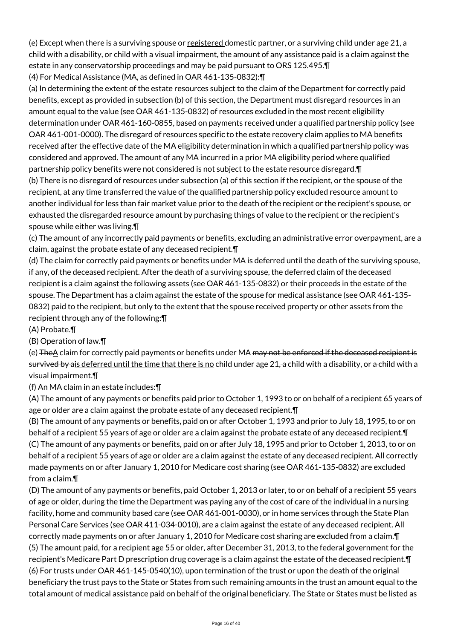(e) Except when there is a surviving spouse or registered domestic partner, or a surviving child under age 21, a child with a disability, or child with a visual impairment, the amount of any assistance paid is a claim against the estate in any conservatorship proceedings and may be paid pursuant to ORS 125.495.¶

(4) For Medical Assistance (MA, as defined in OAR 461-135-0832):¶

(a) In determining the extent of the estate resources subject to the claim of the Department for correctly paid benefits, except as provided in subsection (b) of this section, the Department must disregard resources in an amount equal to the value (see OAR 461-135-0832) of resources excluded in the most recent eligibility determination under OAR 461-160-0855, based on payments received under a qualified partnership policy (see OAR 461-001-0000). The disregard of resources specific to the estate recovery claim applies to MA benefits received after the effective date of the MA eligibility determination in which a qualified partnership policy was considered and approved. The amount of any MA incurred in a prior MA eligibility period where qualified partnership policy benefits were not considered is not subject to the estate resource disregard.¶ (b) There is no disregard of resources under subsection (a) of this section if the recipient, or the spouse of the recipient, at any time transferred the value of the qualified partnership policy excluded resource amount to another individual for less than fair market value prior to the death of the recipient or the recipient's spouse, or exhausted the disregarded resource amount by purchasing things of value to the recipient or the recipient's spouse while either was living.¶

(c) The amount of any incorrectly paid payments or benefits, excluding an administrative error overpayment, are a claim, against the probate estate of any deceased recipient.¶

(d) The claim for correctly paid payments or benefits under MA is deferred until the death of the surviving spouse, if any, of the deceased recipient. After the death of a surviving spouse, the deferred claim of the deceased recipient is a claim against the following assets (see OAR 461-135-0832) or their proceeds in the estate of the spouse. The Department has a claim against the estate of the spouse for medical assistance (see OAR 461-135- 0832) paid to the recipient, but only to the extent that the spouse received property or other assets from the recipient through any of the following:¶

(A) Probate.¶

(B) Operation of law.¶

(e) The A claim for correctly paid payments or benefits under MA may not be enforced if the deceased recipient is survived by ais deferred until the time that there is no child under age 21, a child with a disability, or a child with a visual impairment.¶

(f) An MA claim in an estate includes:¶

(A) The amount of any payments or benefits paid prior to October 1, 1993 to or on behalf of a recipient 65 years of age or older are a claim against the probate estate of any deceased recipient.¶

(B) The amount of any payments or benefits, paid on or after October 1, 1993 and prior to July 18, 1995, to or on behalf of a recipient 55 years of age or older are a claim against the probate estate of any deceased recipient.¶ (C) The amount of any payments or benefits, paid on or after July 18, 1995 and prior to October 1, 2013, to or on behalf of a recipient 55 years of age or older are a claim against the estate of any deceased recipient. All correctly made payments on or after January 1, 2010 for Medicare cost sharing (see OAR 461-135-0832) are excluded from a claim.¶

(D) The amount of any payments or benefits, paid October 1, 2013 or later, to or on behalf of a recipient 55 years of age or older, during the time the Department was paying any of the cost of care of the individual in a nursing facility, home and community based care (see OAR 461-001-0030), or in home services through the State Plan Personal Care Services (see OAR 411-034-0010), are a claim against the estate of any deceased recipient. All correctly made payments on or after January 1, 2010 for Medicare cost sharing are excluded from a claim.¶ (5) The amount paid, for a recipient age 55 or older, after December 31, 2013, to the federal government for the recipient's Medicare Part D prescription drug coverage is a claim against the estate of the deceased recipient.¶ (6) For trusts under OAR 461-145-0540(10), upon termination of the trust or upon the death of the original beneficiary the trust pays to the State or States from such remaining amounts in the trust an amount equal to the total amount of medical assistance paid on behalf of the original beneficiary. The State or States must be listed as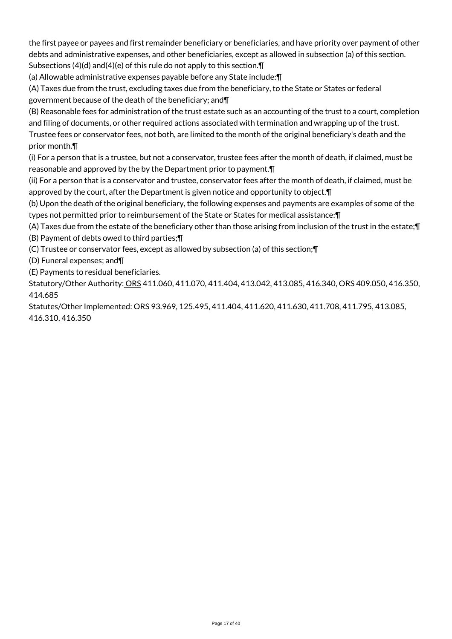the first payee or payees and first remainder beneficiary or beneficiaries, and have priority over payment of other debts and administrative expenses, and other beneficiaries, except as allowed in subsection (a) of this section. Subsections (4)(d) and(4)(e) of this rule do not apply to this section.¶

(a) Allowable administrative expenses payable before any State include:¶

(A) Taxes due from the trust, excluding taxes due from the beneficiary, to the State or States or federal government because of the death of the beneficiary; and¶

(B) Reasonable fees for administration of the trust estate such as an accounting of the trust to a court, completion and filing of documents, or other required actions associated with termination and wrapping up of the trust.

Trustee fees or conservator fees, not both, are limited to the month of the original beneficiary's death and the prior month.¶

(i) For a person that is a trustee, but not a conservator, trustee fees after the month of death, if claimed, must be reasonable and approved by the by the Department prior to payment.¶

(ii) For a person that is a conservator and trustee, conservator fees after the month of death, if claimed, must be approved by the court, after the Department is given notice and opportunity to object.¶

(b) Upon the death of the original beneficiary, the following expenses and payments are examples of some of the types not permitted prior to reimbursement of the State or States for medical assistance:¶

(A) Taxes due from the estate of the beneficiary other than those arising from inclusion of the trust in the estate;¶ (B) Payment of debts owed to third parties;¶

(C) Trustee or conservator fees, except as allowed by subsection (a) of this section;¶

(D) Funeral expenses; and¶

(E) Payments to residual beneficiaries.

Statutory/Other Authority: ORS 411.060, 411.070, 411.404, 413.042, 413.085, 416.340, ORS 409.050, 416.350, 414.685

Statutes/Other Implemented: ORS 93.969, 125.495, 411.404, 411.620, 411.630, 411.708, 411.795, 413.085, 416.310, 416.350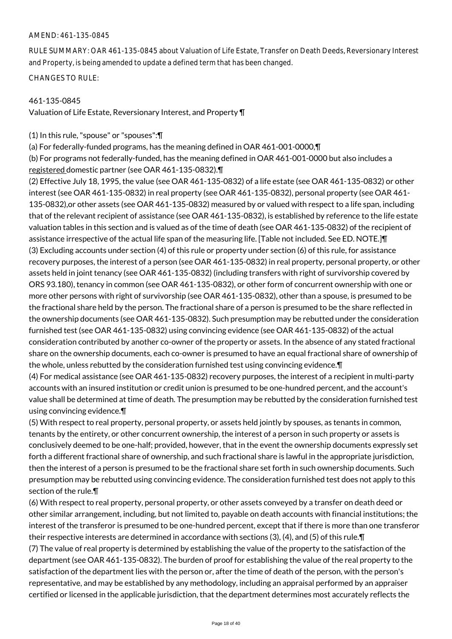#### AMEND: 461-135-0845

RULE SUMMARY: OAR 461-135-0845 about Valuation of Life Estate, Transfer on Death Deeds, Reversionary Interest and Property, is being amended to update a defined term that has been changed.

CHANGES TO RULE:

## 461-135-0845

Valuation of Life Estate, Reversionary Interest, and Property ¶

(1) In this rule, "spouse" or "spouses":¶

(a) For federally-funded programs, has the meaning defined in OAR 461-001-0000,¶

(b) For programs not federally-funded, has the meaning defined in OAR 461-001-0000 but also includes a registered domestic partner (see OAR 461-135-0832).¶

(2) Effective July 18, 1995, the value (see OAR 461-135-0832) of a life estate (see OAR 461-135-0832) or other interest (see OAR 461-135-0832) in real property (see OAR 461-135-0832), personal property (see OAR 461- 135-0832),or other assets (see OAR 461-135-0832) measured by or valued with respect to a life span, including that of the relevant recipient of assistance (see OAR 461-135-0832), is established by reference to the life estate valuation tables in this section and is valued as of the time of death (see OAR 461-135-0832) of the recipient of assistance irrespective of the actual life span of the measuring life. [Table not included. See ED. NOTE.]¶ (3) Excluding accounts under section (4) of this rule or property under section (6) of this rule, for assistance recovery purposes, the interest of a person (see OAR 461-135-0832) in real property, personal property, or other assets held in joint tenancy (see OAR 461-135-0832) (including transfers with right of survivorship covered by ORS 93.180), tenancy in common (see OAR 461-135-0832), or other form of concurrent ownership with one or more other persons with right of survivorship (see OAR 461-135-0832), other than a spouse, is presumed to be the fractional share held by the person. The fractional share of a person is presumed to be the share reflected in the ownership documents (see OAR 461-135-0832). Such presumption may be rebutted under the consideration furnished test (see OAR 461-135-0832) using convincing evidence (see OAR 461-135-0832) of the actual consideration contributed by another co-owner of the property or assets. In the absence of any stated fractional share on the ownership documents, each co-owner is presumed to have an equal fractional share of ownership of the whole, unless rebutted by the consideration furnished test using convincing evidence.¶

(4) For medical assistance (see OAR 461-135-0832) recovery purposes, the interest of a recipient in multi-party accounts with an insured institution or credit union is presumed to be one-hundred percent, and the account's value shall be determined at time of death. The presumption may be rebutted by the consideration furnished test using convincing evidence.¶

(5) With respect to real property, personal property, or assets held jointly by spouses, as tenants in common, tenants by the entirety, or other concurrent ownership, the interest of a person in such property or assets is conclusively deemed to be one-half; provided, however, that in the event the ownership documents expressly set forth a different fractional share of ownership, and such fractional share is lawful in the appropriate jurisdiction, then the interest of a person is presumed to be the fractional share set forth in such ownership documents. Such presumption may be rebutted using convincing evidence. The consideration furnished test does not apply to this section of the rule.¶

(6) With respect to real property, personal property, or other assets conveyed by a transfer on death deed or other similar arrangement, including, but not limited to, payable on death accounts with financial institutions; the interest of the transferor is presumed to be one-hundred percent, except that if there is more than one transferor their respective interests are determined in accordance with sections (3), (4), and (5) of this rule.¶ (7) The value of real property is determined by establishing the value of the property to the satisfaction of the department (see OAR 461-135-0832). The burden of proof for establishing the value of the real property to the satisfaction of the department lies with the person or, after the time of death of the person, with the person's representative, and may be established by any methodology, including an appraisal performed by an appraiser certified or licensed in the applicable jurisdiction, that the department determines most accurately reflects the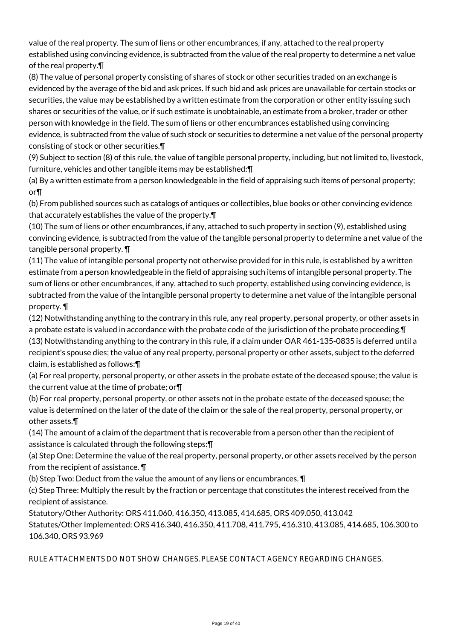value of the real property. The sum of liens or other encumbrances, if any, attached to the real property established using convincing evidence, is subtracted from the value of the real property to determine a net value of the real property.¶

(8) The value of personal property consisting of shares of stock or other securities traded on an exchange is evidenced by the average of the bid and ask prices. If such bid and ask prices are unavailable for certain stocks or securities, the value may be established by a written estimate from the corporation or other entity issuing such shares or securities of the value, or if such estimate is unobtainable, an estimate from a broker, trader or other person with knowledge in the field. The sum of liens or other encumbrances established using convincing evidence, is subtracted from the value of such stock or securities to determine a net value of the personal property consisting of stock or other securities.¶

(9) Subject to section (8) of this rule, the value of tangible personal property, including, but not limited to, livestock, furniture, vehicles and other tangible items may be established:¶

(a) By a written estimate from a person knowledgeable in the field of appraising such items of personal property; or¶

(b) From published sources such as catalogs of antiques or collectibles, blue books or other convincing evidence that accurately establishes the value of the property.¶

(10) The sum of liens or other encumbrances, if any, attached to such property in section (9), established using convincing evidence, is subtracted from the value of the tangible personal property to determine a net value of the tangible personal property. ¶

(11) The value of intangible personal property not otherwise provided for in this rule, is established by a written estimate from a person knowledgeable in the field of appraising such items of intangible personal property. The sum of liens or other encumbrances, if any, attached to such property, established using convincing evidence, is subtracted from the value of the intangible personal property to determine a net value of the intangible personal property. ¶

(12) Notwithstanding anything to the contrary in this rule, any real property, personal property, or other assets in a probate estate is valued in accordance with the probate code of the jurisdiction of the probate proceeding.¶ (13) Notwithstanding anything to the contrary in this rule, if a claim under OAR 461-135-0835 is deferred until a

recipient's spouse dies; the value of any real property, personal property or other assets, subject to the deferred claim, is established as follows:¶

(a) For real property, personal property, or other assets in the probate estate of the deceased spouse; the value is the current value at the time of probate; or¶

(b) For real property, personal property, or other assets not in the probate estate of the deceased spouse; the value is determined on the later of the date of the claim or the sale of the real property, personal property, or other assets.¶

(14) The amount of a claim of the department that is recoverable from a person other than the recipient of assistance is calculated through the following steps:¶

(a) Step One: Determine the value of the real property, personal property, or other assets received by the person from the recipient of assistance. ¶

(b) Step Two: Deduct from the value the amount of any liens or encumbrances. ¶

(c) Step Three: Multiply the result by the fraction or percentage that constitutes the interest received from the recipient of assistance.

Statutory/Other Authority: ORS 411.060, 416.350, 413.085, 414.685, ORS 409.050, 413.042 Statutes/Other Implemented: ORS 416.340, 416.350, 411.708, 411.795, 416.310, 413.085, 414.685, 106.300 to 106.340, ORS 93.969

RULE ATTACHMENTS DO NOT SHOW CHANGES. PLEASE CONTACT AGENCY REGARDING CHANGES.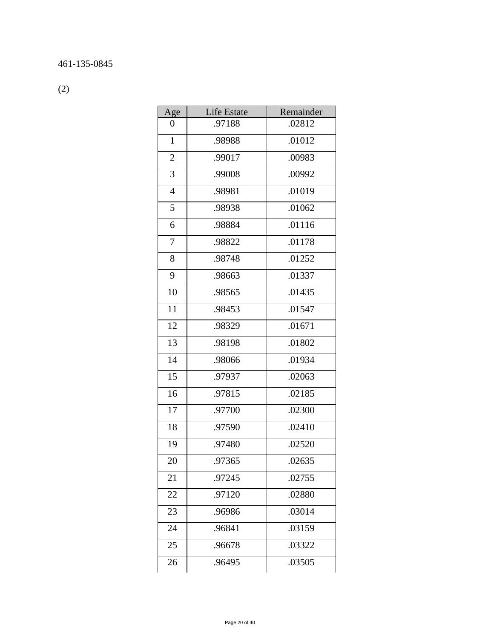(2)

| Age            | <b>Life Estate</b> | Remainder |
|----------------|--------------------|-----------|
| 0              | .97188             | .02812    |
| $\mathbf{1}$   | .98988             | .01012    |
| $\sqrt{2}$     | .99017             | .00983    |
| 3              | .99008             | .00992    |
| $\overline{4}$ | .98981             | .01019    |
| 5              | .98938             | .01062    |
| 6              | .98884             | .01116    |
| 7              | .98822             | .01178    |
| 8              | .98748             | .01252    |
| 9              | .98663             | .01337    |
| 10             | .98565             | .01435    |
| 11             | .98453             | .01547    |
| 12             | .98329             | .01671    |
| 13             | .98198             | .01802    |
| 14             | .98066             | .01934    |
| 15             | .97937             | .02063    |
| 16             | .97815             | .02185    |
| 17             | .97700             | .02300    |
| 18             | .97590             | .02410    |
| 19             | .97480             | .02520    |
| 20             | 97365              | .02635    |
| 21             | .97245             | .02755    |
| 22             | .97120             | .02880    |
| 23             | .96986             | .03014    |
| 24             | .96841             | .03159    |
| 25             | .96678             | .03322    |
| 26             | .96495             | .03505    |
|                |                    |           |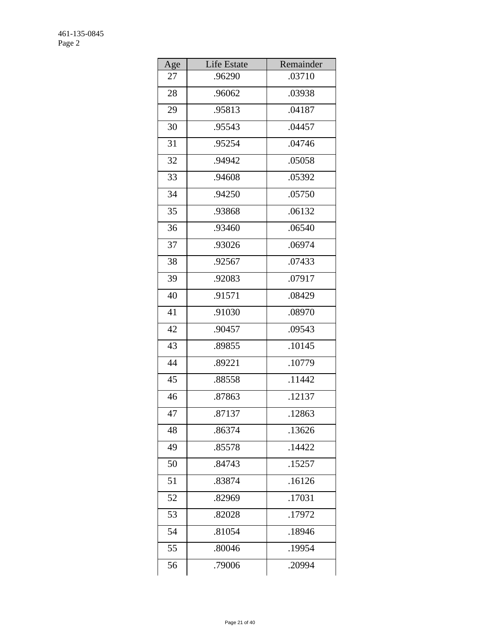| Age             | Life Estate | Remainder |
|-----------------|-------------|-----------|
| 27              | .96290      | .03710    |
| 28              | .96062      | .03938    |
| 29              | .95813      | .04187    |
| 30              | .95543      | .04457    |
| 31              | .95254      | .04746    |
| 32              | .94942      | .05058    |
| 33              | .94608      | .05392    |
| 34              | .94250      | .05750    |
| 35              | .93868      | .06132    |
| 36              | .93460      | .06540    |
| 37              | .93026      | .06974    |
| 38              | .92567      | .07433    |
| 39              | .92083      | .07917    |
| 40              | .91571      | .08429    |
| 41              | .91030      | .08970    |
| 42              | .90457      | .09543    |
| $\overline{4}3$ | .89855      | .10145    |
| 44              | .89221      | .10779    |
| 45              | .88558      | .11442    |
| 46              | .87863      | .12137    |
| 47              | .87137      | .12863    |
| 48              | .86374      | .13626    |
| 49              | .85578      | .14422    |
| 50              | .84743      | .15257    |
| 51              | .83874      | .16126    |
| 52              | .82969      | .17031    |
| 53              | .82028      | .17972    |
| 54              | .81054      | .18946    |
| 55              | .80046      | .19954    |
| 56              | .79006      | .20994    |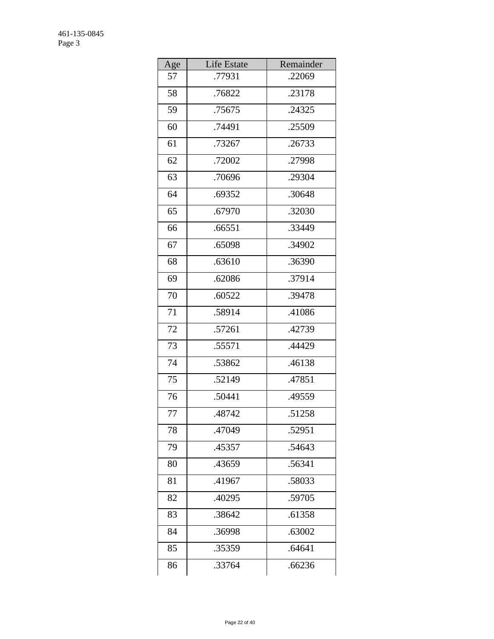| Age | Life Estate | Remainder |
|-----|-------------|-----------|
| 57  | .77931      | .22069    |
| 58  | .76822      | .23178    |
| 59  | .75675      | .24325    |
| 60  | .74491      | .25509    |
| 61  | .73267      | .26733    |
| 62  | .72002      | .27998    |
| 63  | .70696      | .29304    |
| 64  | .69352      | .30648    |
| 65  | .67970      | .32030    |
| 66  | .66551      | .33449    |
| 67  | .65098      | .34902    |
| 68  | .63610      | .36390    |
| 69  | .62086      | .37914    |
| 70  | .60522      | .39478    |
| 71  | .58914      | .41086    |
| 72  | .57261      | .42739    |
| 73  | .55571      | .44429    |
| 74  | .53862      | .46138    |
| 75  | .52149      | .47851    |
| 76  | .50441      | .49559    |
| 77  | .48742      | .51258    |
| 78  | .47049      | .52951    |
| 79  | .45357      | .54643    |
| 80  | .43659      | .56341    |
| 81  | .41967      | .58033    |
| 82  | .40295      | .59705    |
| 83  | .38642      | .61358    |
| 84  | .36998      | .63002    |
| 85  | .35359      | .64641    |
| 86  | .33764      | .66236    |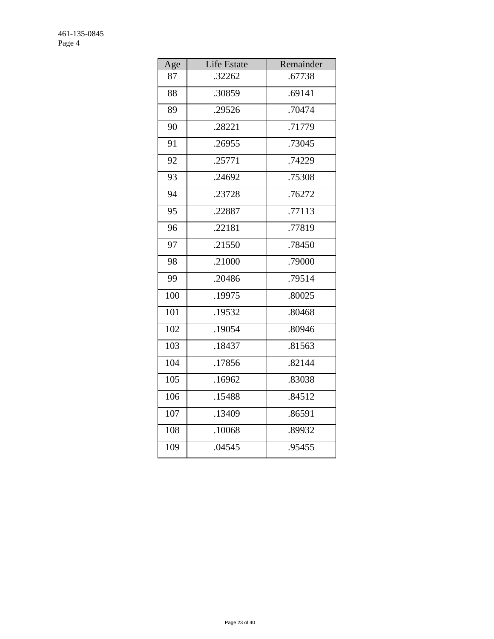| Age | Life Estate | Remainder |
|-----|-------------|-----------|
| 87  | .32262      | .67738    |
| 88  | .30859      | .69141    |
| 89  | .29526      | .70474    |
| 90  | .28221      | .71779    |
| 91  | .26955      | .73045    |
| 92  | .25771      | .74229    |
| 93  | .24692      | .75308    |
| 94  | .23728      | .76272    |
| 95  | .22887      | .77113    |
| 96  | .22181      | .77819    |
| 97  | .21550      | .78450    |
| 98  | .21000      | .79000    |
| 99  | .20486      | .79514    |
| 100 | .19975      | .80025    |
| 101 | .19532      | .80468    |
| 102 | .19054      | .80946    |
| 103 | .18437      | .81563    |
| 104 | .17856      | .82144    |
| 105 | .16962      | .83038    |
| 106 | .15488      | .84512    |
| 107 | .13409      | .86591    |
| 108 | .10068      | .89932    |
| 109 | .04545      | .95455    |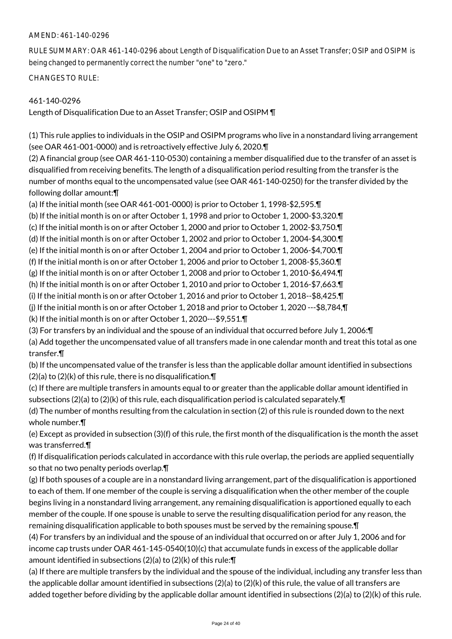## AMEND: 461-140-0296

RULE SUMMARY: OAR 461-140-0296 about Length of Disqualification Due to an Asset Transfer; OSIP and OSIPM is being changed to permanently correct the number "one" to "zero."

CHANGES TO RULE:

## 461-140-0296

Length of Disqualification Due to an Asset Transfer; OSIP and OSIPM ¶

(1) This rule applies to individuals in the OSIP and OSIPM programs who live in a nonstandard living arrangement (see OAR 461-001-0000) and is retroactively effective July 6, 2020.¶

(2) A financial group (see OAR 461-110-0530) containing a member disqualified due to the transfer of an asset is disqualified from receiving benefits. The length of a disqualification period resulting from the transfer is the number of months equal to the uncompensated value (see OAR 461-140-0250) for the transfer divided by the following dollar amount:¶

(a) If the initial month (see OAR 461-001-0000) is prior to October 1, 1998-\$2,595.¶

(b) If the initial month is on or after October 1, 1998 and prior to October 1, 2000-\$3,320.¶

(c) If the initial month is on or after October 1, 2000 and prior to October 1, 2002-\$3,750.¶

(d) If the initial month is on or after October 1, 2002 and prior to October 1, 2004-\$4,300.¶

(e) If the initial month is on or after October 1, 2004 and prior to October 1, 2006-\$4,700.¶

(f) If the initial month is on or after October 1, 2006 and prior to October 1, 2008-\$5,360.¶

(g) If the initial month is on or after October 1, 2008 and prior to October 1, 2010-\$6,494.¶

(h) If the initial month is on or after October 1, 2010 and prior to October 1, 2016-\$7,663.¶

(i) If the initial month is on or after October 1, 2016 and prior to October 1, 2018--\$8,425.¶

(j) If the initial month is on or after October 1, 2018 and prior to October 1, 2020 ---\$8,784,¶

(k) If the initial month is on or after October 1, 2020---\$9,551.¶

(3) For transfers by an individual and the spouse of an individual that occurred before July 1, 2006:¶

(a) Add together the uncompensated value of all transfers made in one calendar month and treat this total as one transfer.¶

(b) If the uncompensated value of the transfer is less than the applicable dollar amount identified in subsections  $(2)(a)$  to  $(2)(k)$  of this rule, there is no disqualification. $\P$ 

(c) If there are multiple transfers in amounts equal to or greater than the applicable dollar amount identified in subsections (2)(a) to (2)(k) of this rule, each disqualification period is calculated separately. $\P$ 

(d) The number of months resulting from the calculation in section (2) of this rule is rounded down to the next whole number.¶

(e) Except as provided in subsection (3)(f) of this rule, the first month of the disqualification is the month the asset was transferred.¶

(f) If disqualification periods calculated in accordance with this rule overlap, the periods are applied sequentially so that no two penalty periods overlap.¶

(g) If both spouses of a couple are in a nonstandard living arrangement, part of the disqualification is apportioned to each of them. If one member of the couple is serving a disqualification when the other member of the couple begins living in a nonstandard living arrangement, any remaining disqualification is apportioned equally to each member of the couple. If one spouse is unable to serve the resulting disqualification period for any reason, the remaining disqualification applicable to both spouses must be served by the remaining spouse.¶

(4) For transfers by an individual and the spouse of an individual that occurred on or after July 1, 2006 and for income cap trusts under OAR 461-145-0540(10)(c) that accumulate funds in excess of the applicable dollar amount identified in subsections (2)(a) to (2)(k) of this rule:¶

(a) If there are multiple transfers by the individual and the spouse of the individual, including any transfer less than the applicable dollar amount identified in subsections (2)(a) to (2)(k) of this rule, the value of all transfers are added together before dividing by the applicable dollar amount identified in subsections (2)(a) to (2)(k) of this rule.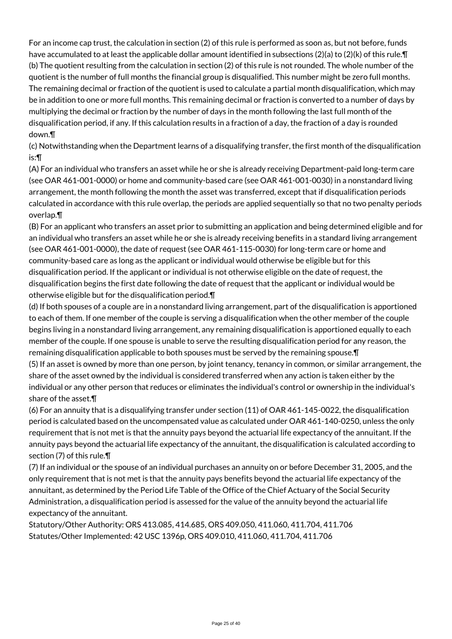For an income cap trust, the calculation in section (2) of this rule is performed as soon as, but not before, funds have accumulated to at least the applicable dollar amount identified in subsections (2)(a) to (2)(k) of this rule.¶ (b) The quotient resulting from the calculation in section (2) of this rule is not rounded. The whole number of the quotient is the number of full months the financial group is disqualified. This number might be zero full months. The remaining decimal or fraction of the quotient is used to calculate a partial month disqualification, which may be in addition to one or more full months. This remaining decimal or fraction is converted to a number of days by multiplying the decimal or fraction by the number of days in the month following the last full month of the disqualification period, if any. If this calculation results in a fraction of a day, the fraction of a day is rounded down.¶

(c) Notwithstanding when the Department learns of a disqualifying transfer, the first month of the disqualification is:¶

(A) For an individual who transfers an asset while he or she is already receiving Department-paid long-term care (see OAR 461-001-0000) or home and community-based care (see OAR 461-001-0030) in a nonstandard living arrangement, the month following the month the asset was transferred, except that if disqualification periods calculated in accordance with this rule overlap, the periods are applied sequentially so that no two penalty periods overlap.¶

(B) For an applicant who transfers an asset prior to submitting an application and being determined eligible and for an individual who transfers an asset while he or she is already receiving benefits in a standard living arrangement (see OAR 461-001-0000), the date of request (see OAR 461-115-0030) for long-term care or home and community-based care as long as the applicant or individual would otherwise be eligible but for this disqualification period. If the applicant or individual is not otherwise eligible on the date of request, the disqualification begins the first date following the date of request that the applicant or individual would be otherwise eligible but for the disqualification period.¶

(d) If both spouses of a couple are in a nonstandard living arrangement, part of the disqualification is apportioned to each of them. If one member of the couple is serving a disqualification when the other member of the couple begins living in a nonstandard living arrangement, any remaining disqualification is apportioned equally to each member of the couple. If one spouse is unable to serve the resulting disqualification period for any reason, the remaining disqualification applicable to both spouses must be served by the remaining spouse.¶

(5) If an asset is owned by more than one person, by joint tenancy, tenancy in common, or similar arrangement, the share of the asset owned by the individual is considered transferred when any action is taken either by the individual or any other person that reduces or eliminates the individual's control or ownership in the individual's share of the asset.¶

(6) For an annuity that is a disqualifying transfer under section (11) of OAR 461-145-0022, the disqualification period is calculated based on the uncompensated value as calculated under OAR 461-140-0250, unless the only requirement that is not met is that the annuity pays beyond the actuarial life expectancy of the annuitant. If the annuity pays beyond the actuarial life expectancy of the annuitant, the disqualification is calculated according to section (7) of this rule.¶

(7) If an individual or the spouse of an individual purchases an annuity on or before December 31, 2005, and the only requirement that is not met is that the annuity pays benefits beyond the actuarial life expectancy of the annuitant, as determined by the Period Life Table of the Office of the Chief Actuary of the Social Security Administration, a disqualification period is assessed for the value of the annuity beyond the actuarial life expectancy of the annuitant.

Statutory/Other Authority: ORS 413.085, 414.685, ORS 409.050, 411.060, 411.704, 411.706 Statutes/Other Implemented: 42 USC 1396p, ORS 409.010, 411.060, 411.704, 411.706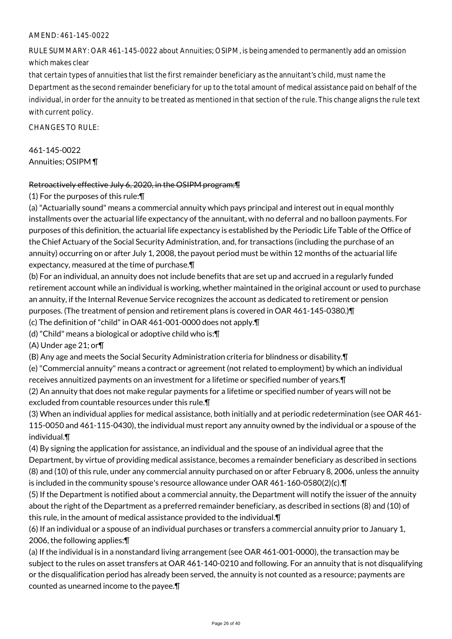## AMEND: 461-145-0022

RULE SUMMARY: OAR 461-145-0022 about Annuities; OSIPM, is being amended to permanently add an omission which makes clear

that certain types of annuities that list the first remainder beneficiary as the annuitant's child, must name the Department as the second remainder beneficiary for up to the total amount of medical assistance paid on behalf of the individual, in order for the annuity to be treated as mentioned in that section of the rule. This change aligns the rule text with current policy.

CHANGES TO RULE:

461-145-0022 Annuities; OSIPM ¶

#### Retroactively effective July 6, 2020, in the OSIPM program:¶

(1) For the purposes of this rule:¶

(a) "Actuarially sound" means a commercial annuity which pays principal and interest out in equal monthly installments over the actuarial life expectancy of the annuitant, with no deferral and no balloon payments. For purposes of this definition, the actuarial life expectancy is established by the Periodic Life Table of the Office of the Chief Actuary of the Social Security Administration, and, for transactions (including the purchase of an annuity) occurring on or after July 1, 2008, the payout period must be within 12 months of the actuarial life expectancy, measured at the time of purchase.¶

(b) For an individual, an annuity does not include benefits that are set up and accrued in a regularly funded retirement account while an individual is working, whether maintained in the original account or used to purchase an annuity, if the Internal Revenue Service recognizes the account as dedicated to retirement or pension purposes. (The treatment of pension and retirement plans is covered in OAR 461-145-0380.)¶

(c) The definition of "child" in OAR 461-001-0000 does not apply.¶

(d) "Child" means a biological or adoptive child who is:¶

(A) Under age 21; or¶

(B) Any age and meets the Social Security Administration criteria for blindness or disability.¶

(e) "Commercial annuity" means a contract or agreement (not related to employment) by which an individual receives annuitized payments on an investment for a lifetime or specified number of years.¶

(2) An annuity that does not make regular payments for a lifetime or specified number of years will not be excluded from countable resources under this rule.¶

(3) When an individual applies for medical assistance, both initially and at periodic redetermination (see OAR 461- 115-0050 and 461-115-0430), the individual must report any annuity owned by the individual or a spouse of the individual.¶

(4) By signing the application for assistance, an individual and the spouse of an individual agree that the Department, by virtue of providing medical assistance, becomes a remainder beneficiary as described in sections (8) and (10) of this rule, under any commercial annuity purchased on or after February 8, 2006, unless the annuity is included in the community spouse's resource allowance under OAR 461-160-0580(2)(c).¶

(5) If the Department is notified about a commercial annuity, the Department will notify the issuer of the annuity about the right of the Department as a preferred remainder beneficiary, as described in sections (8) and (10) of this rule, in the amount of medical assistance provided to the individual.¶

(6) If an individual or a spouse of an individual purchases or transfers a commercial annuity prior to January 1, 2006, the following applies:¶

(a) If the individual is in a nonstandard living arrangement (see OAR 461-001-0000), the transaction may be subject to the rules on asset transfers at OAR 461-140-0210 and following. For an annuity that is not disqualifying or the disqualification period has already been served, the annuity is not counted as a resource; payments are counted as unearned income to the payee.¶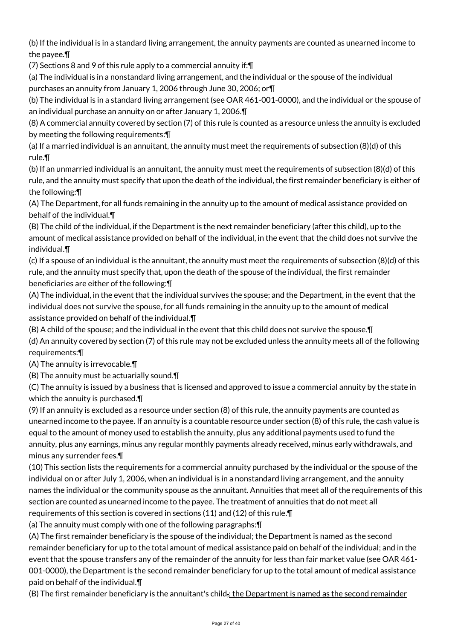(b) If the individual is in a standard living arrangement, the annuity payments are counted as unearned income to the payee.¶

(7) Sections 8 and 9 of this rule apply to a commercial annuity if:¶

(a) The individual is in a nonstandard living arrangement, and the individual or the spouse of the individual purchases an annuity from January 1, 2006 through June 30, 2006; or¶

(b) The individual is in a standard living arrangement (see OAR 461-001-0000), and the individual or the spouse of an individual purchase an annuity on or after January 1, 2006.¶

(8) A commercial annuity covered by section (7) of this rule is counted as a resource unless the annuity is excluded by meeting the following requirements:¶

(a) If a married individual is an annuitant, the annuity must meet the requirements of subsection (8)(d) of this rule.¶

(b) If an unmarried individual is an annuitant, the annuity must meet the requirements of subsection (8)(d) of this rule, and the annuity must specify that upon the death of the individual, the first remainder beneficiary is either of the following:¶

(A) The Department, for all funds remaining in the annuity up to the amount of medical assistance provided on behalf of the individual.¶

(B) The child of the individual, if the Department is the next remainder beneficiary (after this child), up to the amount of medical assistance provided on behalf of the individual, in the event that the child does not survive the individual.¶

(c) If a spouse of an individual is the annuitant, the annuity must meet the requirements of subsection (8)(d) of this rule, and the annuity must specify that, upon the death of the spouse of the individual, the first remainder beneficiaries are either of the following:¶

(A) The individual, in the event that the individual survives the spouse; and the Department, in the event that the individual does not survive the spouse, for all funds remaining in the annuity up to the amount of medical assistance provided on behalf of the individual.¶

(B) A child of the spouse; and the individual in the event that this child does not survive the spouse.¶

(d) An annuity covered by section (7) of this rule may not be excluded unless the annuity meets all of the following requirements:¶

(A) The annuity is irrevocable.¶

(B) The annuity must be actuarially sound.¶

(C) The annuity is issued by a business that is licensed and approved to issue a commercial annuity by the state in which the annuity is purchased.¶

(9) If an annuity is excluded as a resource under section (8) of this rule, the annuity payments are counted as unearned income to the payee. If an annuity is a countable resource under section (8) of this rule, the cash value is equal to the amount of money used to establish the annuity, plus any additional payments used to fund the annuity, plus any earnings, minus any regular monthly payments already received, minus early withdrawals, and minus any surrender fees.¶

(10) This section lists the requirements for a commercial annuity purchased by the individual or the spouse of the individual on or after July 1, 2006, when an individual is in a nonstandard living arrangement, and the annuity names the individual or the community spouse as the annuitant. Annuities that meet all of the requirements of this section are counted as unearned income to the payee. The treatment of annuities that do not meet all requirements of this section is covered in sections (11) and (12) of this rule.¶

(a) The annuity must comply with one of the following paragraphs:¶

(A) The first remainder beneficiary is the spouse of the individual; the Department is named as the second remainder beneficiary for up to the total amount of medical assistance paid on behalf of the individual; and in the event that the spouse transfers any of the remainder of the annuity for less than fair market value (see OAR 461- 001-0000), the Department is the second remainder beneficiary for up to the total amount of medical assistance paid on behalf of the individual.¶

(B) The first remainder beneficiary is the annuitant's child<sub>i</sub>; the Department is named as the second remainder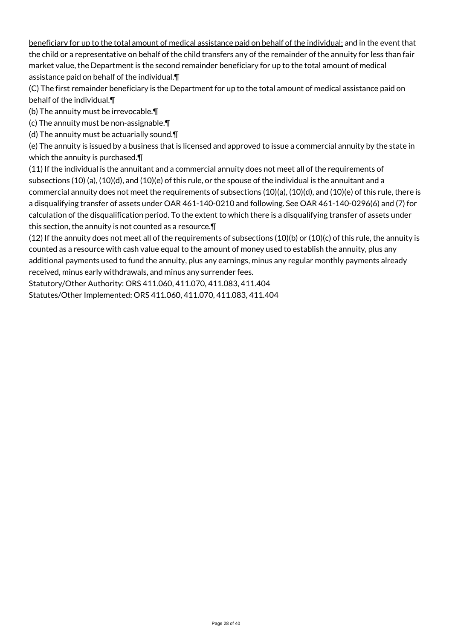beneficiary for up to the total amount of medical assistance paid on behalf of the individual; and in the event that the child or a representative on behalf of the child transfers any of the remainder of the annuity for less than fair market value, the Department is the second remainder beneficiary for up to the total amount of medical assistance paid on behalf of the individual.¶

(C) The first remainder beneficiary is the Department for up to the total amount of medical assistance paid on behalf of the individual.¶

(b) The annuity must be irrevocable.¶

(c) The annuity must be non-assignable.¶

(d) The annuity must be actuarially sound.¶

(e) The annuity is issued by a business that is licensed and approved to issue a commercial annuity by the state in which the annuity is purchased.¶

(11) If the individual is the annuitant and a commercial annuity does not meet all of the requirements of subsections (10) (a), (10)(d), and (10)(e) of this rule, or the spouse of the individual is the annuitant and a commercial annuity does not meet the requirements of subsections (10)(a), (10)(d), and (10)(e) of this rule, there is a disqualifying transfer of assets under OAR 461-140-0210 and following. See OAR 461-140-0296(6) and (7) for calculation of the disqualification period. To the extent to which there is a disqualifying transfer of assets under this section, the annuity is not counted as a resource.¶

 $(12)$  If the annuity does not meet all of the requirements of subsections  $(10)(b)$  or  $(10)(c)$  of this rule, the annuity is counted as a resource with cash value equal to the amount of money used to establish the annuity, plus any additional payments used to fund the annuity, plus any earnings, minus any regular monthly payments already received, minus early withdrawals, and minus any surrender fees.

Statutory/Other Authority: ORS 411.060, 411.070, 411.083, 411.404

Statutes/Other Implemented: ORS 411.060, 411.070, 411.083, 411.404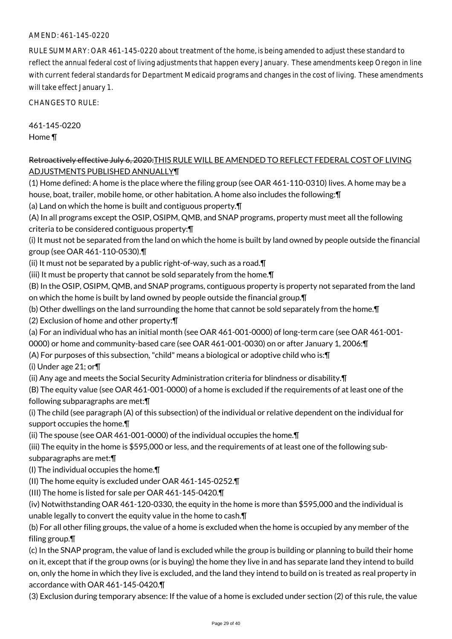## AMEND: 461-145-0220

RULE SUMMARY: OAR 461-145-0220 about treatment of the home, is being amended to adjust these standard to reflect the annual federal cost of living adjustments that happen every January. These amendments keep Oregon in line with current federal standards for Department Medicaid programs and changes in the cost of living. These amendments will take effect January 1.

CHANGES TO RULE:

461-145-0220 Home ¶

### Retroactively effective July 6, 2020: THIS RULE WILL BE AMENDED TO REFLECT FEDERAL COST OF LIVING ADJUSTMENTS PUBLISHED ANNUALLY¶

(1) Home defined: A home is the place where the filing group (see OAR 461-110-0310) lives. A home may be a house, boat, trailer, mobile home, or other habitation. A home also includes the following:¶

(a) Land on which the home is built and contiguous property.¶

(A) In all programs except the OSIP, OSIPM, QMB, and SNAP programs, property must meet all the following criteria to be considered contiguous property:¶

(i) It must not be separated from the land on which the home is built by land owned by people outside the financial group (see OAR 461-110-0530).¶

(ii) It must not be separated by a public right-of-way, such as a road.¶

(iii) It must be property that cannot be sold separately from the home.¶

(B) In the OSIP, OSIPM, QMB, and SNAP programs, contiguous property is property not separated from the land on which the home is built by land owned by people outside the financial group.¶

(b) Other dwellings on the land surrounding the home that cannot be sold separately from the home.¶

(2) Exclusion of home and other property:¶

- (a) For an individual who has an initial month (see OAR 461-001-0000) of long-term care (see OAR 461-001-
- 0000) or home and community-based care (see OAR 461-001-0030) on or after January 1, 2006:¶
- (A) For purposes of this subsection, "child" means a biological or adoptive child who is:¶

(i) Under age 21; or¶

(ii) Any age and meets the Social Security Administration criteria for blindness or disability.¶

(B) The equity value (see OAR 461-001-0000) of a home is excluded if the requirements of at least one of the following subparagraphs are met:¶

(i) The child (see paragraph (A) of this subsection) of the individual or relative dependent on the individual for support occupies the home.¶

(ii) The spouse (see OAR 461-001-0000) of the individual occupies the home.¶

(iii) The equity in the home is \$595,000 or less, and the requirements of at least one of the following subsubparagraphs are met:¶

(I) The individual occupies the home.¶

(II) The home equity is excluded under OAR 461-145-0252.¶

(III) The home is listed for sale per OAR 461-145-0420.¶

(iv) Notwithstanding OAR 461-120-0330, the equity in the home is more than \$595,000 and the individual is unable legally to convert the equity value in the home to cash.¶

(b) For all other filing groups, the value of a home is excluded when the home is occupied by any member of the filing group.¶

(c) In the SNAP program, the value of land is excluded while the group is building or planning to build their home on it, except that if the group owns (or is buying) the home they live in and has separate land they intend to build on, only the home in which they live is excluded, and the land they intend to build on is treated as real property in accordance with OAR 461-145-0420.¶

(3) Exclusion during temporary absence: If the value of a home is excluded under section (2) of this rule, the value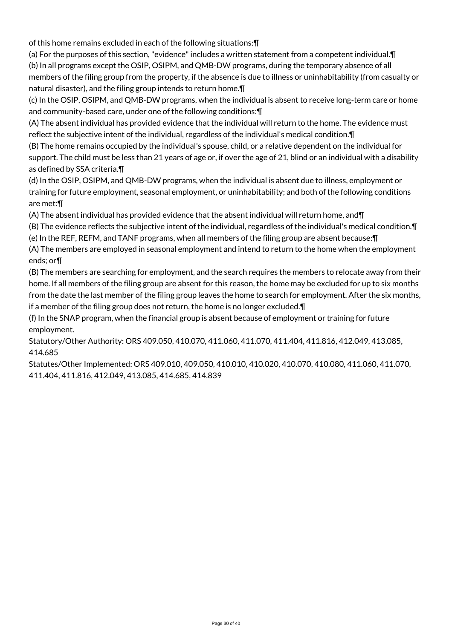of this home remains excluded in each of the following situations:¶

(a) For the purposes of this section, "evidence" includes a written statement from a competent individual.¶ (b) In all programs except the OSIP, OSIPM, and QMB-DW programs, during the temporary absence of all members of the filing group from the property, if the absence is due to illness or uninhabitability (from casualty or natural disaster), and the filing group intends to return home.¶

(c) In the OSIP, OSIPM, and QMB-DW programs, when the individual is absent to receive long-term care or home and community-based care, under one of the following conditions:¶

(A) The absent individual has provided evidence that the individual will return to the home. The evidence must reflect the subjective intent of the individual, regardless of the individual's medical condition.¶

(B) The home remains occupied by the individual's spouse, child, or a relative dependent on the individual for support. The child must be less than 21 years of age or, if over the age of 21, blind or an individual with a disability as defined by SSA criteria.¶

(d) In the OSIP, OSIPM, and QMB-DW programs, when the individual is absent due to illness, employment or training for future employment, seasonal employment, or uninhabitability; and both of the following conditions are met:¶

(A) The absent individual has provided evidence that the absent individual will return home, and¶

(B) The evidence reflects the subjective intent of the individual, regardless of the individual's medical condition.¶ (e) In the REF, REFM, and TANF programs, when all members of the filing group are absent because:¶

(A) The members are employed in seasonal employment and intend to return to the home when the employment ends; or¶

(B) The members are searching for employment, and the search requires the members to relocate away from their home. If all members of the filing group are absent for this reason, the home may be excluded for up to six months from the date the last member of the filing group leaves the home to search for employment. After the six months, if a member of the filing group does not return, the home is no longer excluded.¶

(f) In the SNAP program, when the financial group is absent because of employment or training for future employment.

Statutory/Other Authority: ORS 409.050, 410.070, 411.060, 411.070, 411.404, 411.816, 412.049, 413.085, 414.685

Statutes/Other Implemented: ORS 409.010, 409.050, 410.010, 410.020, 410.070, 410.080, 411.060, 411.070, 411.404, 411.816, 412.049, 413.085, 414.685, 414.839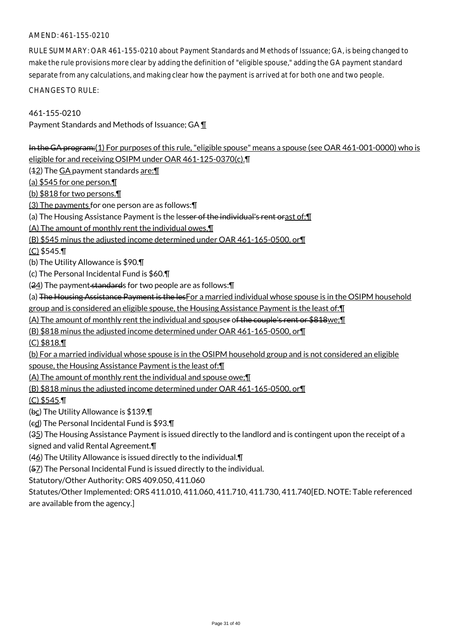## AMEND: 461-155-0210

RULE SUMMARY: OAR 461-155-0210 about Payment Standards and Methods of Issuance; GA, is being changed to make the rule provisions more clear by adding the definition of "eligible spouse," adding the GA payment standard separate from any calculations, and making clear how the payment is arrived at for both one and two people.

CHANGES TO RULE:

461-155-0210 Payment Standards and Methods of Issuance; GA ¶

In the GA program:(1) For purposes of this rule, "eligible spouse" means a spouse (see OAR 461-001-0000) who is eligible for and receiving OSIPM under OAR 461-125-0370(c).¶

 $(42)$  The GA payment standards are: $\P$ 

(a) \$545 for one person.¶

(b) \$818 for two persons.¶

(3) The payments for one person are as follows:¶

(a) The Housing Assistance Payment is the lesser of the individual's rent orast of: [1]

(A) The amount of monthly rent the individual owes,¶

(B) \$545 minus the adjusted income determined under OAR 461-165-0500, or¶

(C) \$545.¶

(b) The Utility Allowance is \$90.¶

(c) The Personal Incidental Fund is \$60.¶

(24) The payment standards for two people are as follows: [

(a) The Housing Assistance Payment is the lesFor a married individual whose spouse is in the OSIPM household

group and is considered an eligible spouse, the Housing Assistance Payment is the least of:¶

(A) The amount of monthly rent the individual and spouser of the couple's rent or \$818we;¶

(B) \$818 minus the adjusted income determined under OAR 461-165-0500, or¶

(C) \$818.¶

(b) For a married individual whose spouse is in the OSIPM household group and is not considered an eligible spouse, the Housing Assistance Payment is the least of:¶

(A) The amount of monthly rent the individual and spouse owe;¶

(B) \$818 minus the adjusted income determined under OAR 461-165-0500, or¶

(C) \$545.¶

(bc) The Utility Allowance is \$139.¶

(cd) The Personal Incidental Fund is \$93.¶

(35) The Housing Assistance Payment is issued directly to the landlord and is contingent upon the receipt of a signed and valid Rental Agreement.¶

(46) The Utility Allowance is issued directly to the individual.¶

(57) The Personal Incidental Fund is issued directly to the individual.

Statutory/Other Authority: ORS 409.050, 411.060

Statutes/Other Implemented: ORS 411.010, 411.060, 411.710, 411.730, 411.740[ED. NOTE: Table referenced are available from the agency.]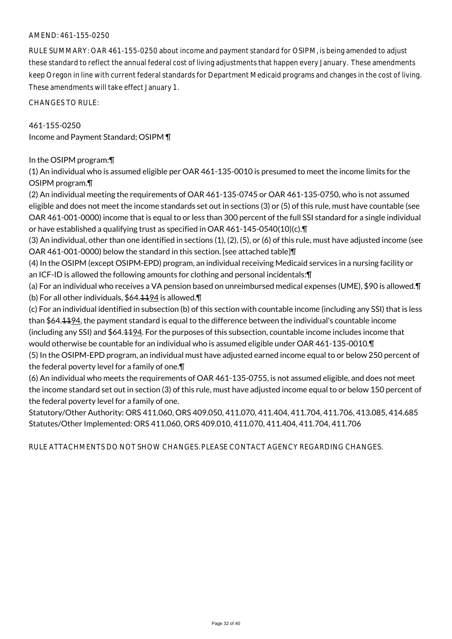### AMEND: 461-155-0250

RULE SUMMARY: OAR 461-155-0250 about income and payment standard for OSIPM, is being amended to adjust these standard to reflect the annual federal cost of living adjustments that happen every January. These amendments keep Oregon in line with current federal standards for Department Medicaid programs and changes in the cost of living. These amendments will take effect January 1.

CHANGES TO RULE:

461-155-0250 Income and Payment Standard; OSIPM ¶

In the OSIPM program:¶

(1) An individual who is assumed eligible per OAR 461-135-0010 is presumed to meet the income limits for the OSIPM program.¶

(2) An individual meeting the requirements of OAR 461-135-0745 or OAR 461-135-0750, who is not assumed eligible and does not meet the income standards set out in sections (3) or (5) of this rule, must have countable (see OAR 461-001-0000) income that is equal to or less than 300 percent of the full SSI standard for a single individual or have established a qualifying trust as specified in OAR 461-145-0540(10)(c).¶

(3) An individual, other than one identified in sections (1), (2), (5), or (6) of this rule, must have adjusted income (see OAR 461-001-0000) below the standard in this section. [see attached table]¶

(4) In the OSIPM (except OSIPM-EPD) program, an individual receiving Medicaid services in a nursing facility or an ICF-ID is allowed the following amounts for clothing and personal incidentals:¶

(a) For an individual who receives a VA pension based on unreimbursed medical expenses (UME), \$90 is allowed.¶ (b) For all other individuals, \$64.1194 is allowed.¶

(c) For an individual identified in subsection (b) of this section with countable income (including any SSI) that is less than \$64.1194, the payment standard is equal to the difference between the individual's countable income (including any SSI) and \$64.1194. For the purposes of this subsection, countable income includes income that would otherwise be countable for an individual who is assumed eligible under OAR 461-135-0010.¶ (5) In the OSIPM-EPD program, an individual must have adjusted earned income equal to or below 250 percent of

the federal poverty level for a family of one.¶

(6) An individual who meets the requirements of OAR 461-135-0755, is not assumed eligible, and does not meet the income standard set out in section (3) of this rule, must have adjusted income equal to or below 150 percent of the federal poverty level for a family of one.

Statutory/Other Authority: ORS 411.060, ORS 409.050, 411.070, 411.404, 411.704, 411.706, 413.085, 414.685 Statutes/Other Implemented: ORS 411.060, ORS 409.010, 411.070, 411.404, 411.704, 411.706

RULE ATTACHMENTS DO NOT SHOW CHANGES. PLEASE CONTACT AGENCY REGARDING CHANGES.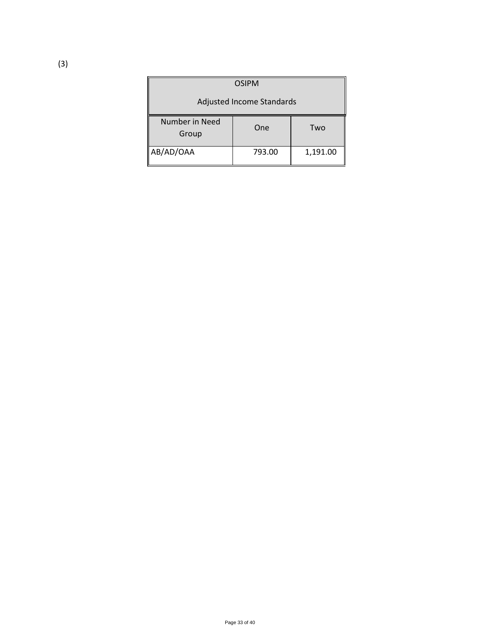| <b>OSIPM</b>                     |        |          |
|----------------------------------|--------|----------|
| <b>Adjusted Income Standards</b> |        |          |
| Number in Need<br>Group          | One    | Two      |
| AB/AD/OAA                        | 793.00 | 1,191.00 |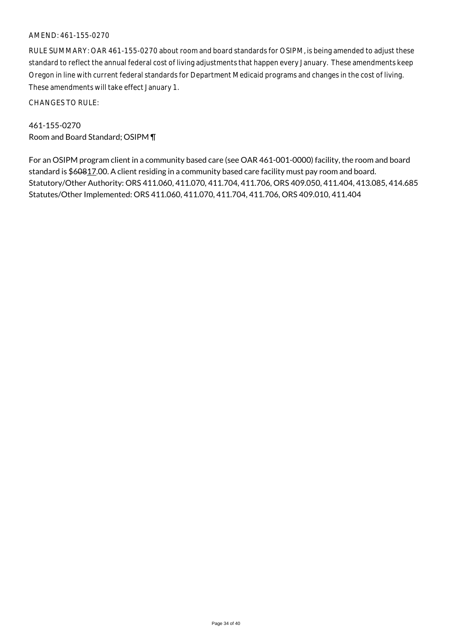### AMEND: 461-155-0270

RULE SUMMARY: OAR 461-155-0270 about room and board standards for OSIPM, is being amended to adjust these standard to reflect the annual federal cost of living adjustments that happen every January. These amendments keep Oregon in line with current federal standards for Department Medicaid programs and changes in the cost of living. These amendments will take effect January 1.

CHANGES TO RULE:

461-155-0270 Room and Board Standard; OSIPM ¶

For an OSIPM program client in a community based care (see OAR 461-001-0000) facility, the room and board standard is \$60817.00. A client residing in a community based care facility must pay room and board. Statutory/Other Authority: ORS 411.060, 411.070, 411.704, 411.706, ORS 409.050, 411.404, 413.085, 414.685 Statutes/Other Implemented: ORS 411.060, 411.070, 411.704, 411.706, ORS 409.010, 411.404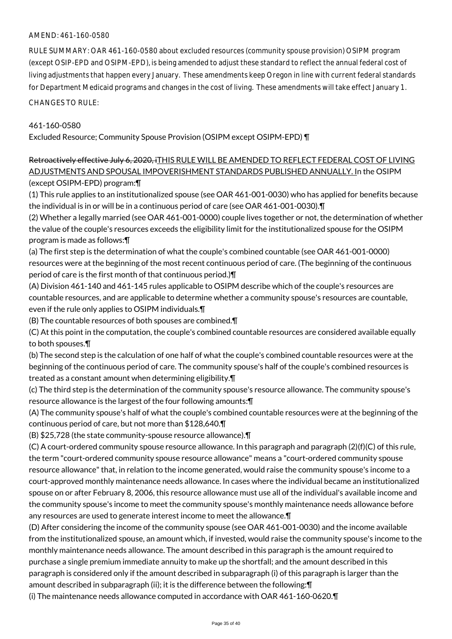### AMEND: 461-160-0580

RULE SUMMARY: OAR 461-160-0580 about excluded resources (community spouse provision) OSIPM program (except OSIP-EPD and OSIPM-EPD), is being amended to adjust these standard to reflect the annual federal cost of living adjustments that happen every January. These amendments keep Oregon in line with current federal standards for Department Medicaid programs and changes in the cost of living. These amendments will take effect January 1.

CHANGES TO RULE:

#### 461-160-0580

Excluded Resource; Community Spouse Provision (OSIPM except OSIPM-EPD) ¶

# Retroactively effective July 6, 2020, iTHIS RULE WILL BE AMENDED TO REFLECT FEDERAL COST OF LIVING ADJUSTMENTS AND SPOUSAL IMPOVERISHMENT STANDARDS PUBLISHED ANNUALLY. In the OSIPM

(except OSIPM-EPD) program:¶

(1) This rule applies to an institutionalized spouse (see OAR 461-001-0030) who has applied for benefits because the individual is in or will be in a continuous period of care (see OAR 461-001-0030).¶

(2) Whether a legally married (see OAR 461-001-0000) couple lives together or not, the determination of whether the value of the couple's resources exceeds the eligibility limit for the institutionalized spouse for the OSIPM program is made as follows:¶

(a) The first step is the determination of what the couple's combined countable (see OAR 461-001-0000) resources were at the beginning of the most recent continuous period of care. (The beginning of the continuous period of care is the first month of that continuous period.)¶

(A) Division 461-140 and 461-145 rules applicable to OSIPM describe which of the couple's resources are countable resources, and are applicable to determine whether a community spouse's resources are countable, even if the rule only applies to OSIPM individuals.¶

(B) The countable resources of both spouses are combined.¶

(C) At this point in the computation, the couple's combined countable resources are considered available equally to both spouses.¶

(b) The second step is the calculation of one half of what the couple's combined countable resources were at the beginning of the continuous period of care. The community spouse's half of the couple's combined resources is treated as a constant amount when determining eligibility.¶

(c) The third step is the determination of the community spouse's resource allowance. The community spouse's resource allowance is the largest of the four following amounts:¶

(A) The community spouse's half of what the couple's combined countable resources were at the beginning of the continuous period of care, but not more than \$128,640.¶

(B) \$25,728 (the state community-spouse resource allowance).¶

(C) A court-ordered community spouse resource allowance. In this paragraph and paragraph (2)(f)(C) of this rule, the term "court-ordered community spouse resource allowance" means a "court-ordered community spouse resource allowance" that, in relation to the income generated, would raise the community spouse's income to a court-approved monthly maintenance needs allowance. In cases where the individual became an institutionalized spouse on or after February 8, 2006, this resource allowance must use all of the individual's available income and the community spouse's income to meet the community spouse's monthly maintenance needs allowance before any resources are used to generate interest income to meet the allowance.¶

(D) After considering the income of the community spouse (see OAR 461-001-0030) and the income available from the institutionalized spouse, an amount which, if invested, would raise the community spouse's income to the monthly maintenance needs allowance. The amount described in this paragraph is the amount required to purchase a single premium immediate annuity to make up the shortfall; and the amount described in this paragraph is considered only if the amount described in subparagraph (i) of this paragraph is larger than the amount described in subparagraph (ii); it is the difference between the following:¶

(i) The maintenance needs allowance computed in accordance with OAR 461-160-0620.¶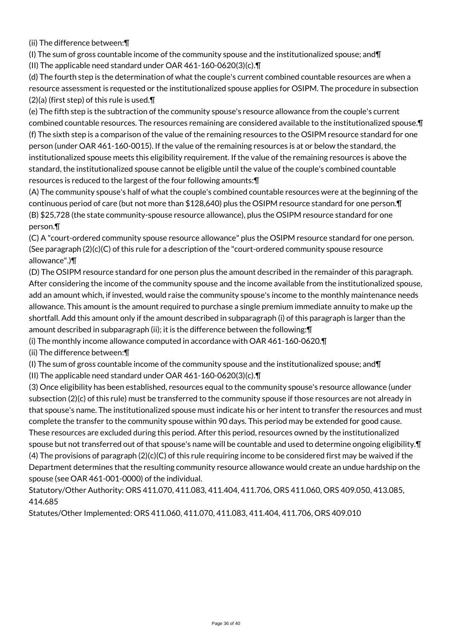(ii) The difference between:¶

(I) The sum of gross countable income of the community spouse and the institutionalized spouse; and  $\P$ 

(II) The applicable need standard under OAR 461-160-0620(3)(c).¶

(d) The fourth step is the determination of what the couple's current combined countable resources are when a resource assessment is requested or the institutionalized spouse applies for OSIPM. The procedure in subsection  $(2)(a)$  (first step) of this rule is used. $\P$ 

(e) The fifth step is the subtraction of the community spouse's resource allowance from the couple's current combined countable resources. The resources remaining are considered available to the institutionalized spouse.¶ (f) The sixth step is a comparison of the value of the remaining resources to the OSIPM resource standard for one person (under OAR 461-160-0015). If the value of the remaining resources is at or below the standard, the institutionalized spouse meets this eligibility requirement. If the value of the remaining resources is above the standard, the institutionalized spouse cannot be eligible until the value of the couple's combined countable resources is reduced to the largest of the four following amounts:¶

(A) The community spouse's half of what the couple's combined countable resources were at the beginning of the continuous period of care (but not more than \$128,640) plus the OSIPM resource standard for one person.¶ (B) \$25,728 (the state community-spouse resource allowance), plus the OSIPM resource standard for one person.¶

(C) A "court-ordered community spouse resource allowance" plus the OSIPM resource standard for one person. (See paragraph  $(2)(c)(C)$  of this rule for a description of the "court-ordered community spouse resource allowance".)¶

(D) The OSIPM resource standard for one person plus the amount described in the remainder of this paragraph. After considering the income of the community spouse and the income available from the institutionalized spouse, add an amount which, if invested, would raise the community spouse's income to the monthly maintenance needs allowance. This amount is the amount required to purchase a single premium immediate annuity to make up the shortfall. Add this amount only if the amount described in subparagraph (i) of this paragraph is larger than the amount described in subparagraph (ii); it is the difference between the following:¶

(i) The monthly income allowance computed in accordance with OAR 461-160-0620.¶

(ii) The difference between:¶

(I) The sum of gross countable income of the community spouse and the institutionalized spouse; and¶

(II) The applicable need standard under OAR 461-160-0620(3)(c).¶

(3) Once eligibility has been established, resources equal to the community spouse's resource allowance (under subsection (2)(c) of this rule) must be transferred to the community spouse if those resources are not already in that spouse's name. The institutionalized spouse must indicate his or her intent to transfer the resources and must complete the transfer to the community spouse within 90 days. This period may be extended for good cause. These resources are excluded during this period. After this period, resources owned by the institutionalized spouse but not transferred out of that spouse's name will be countable and used to determine ongoing eligibility.¶ (4) The provisions of paragraph  $(2)(c)(C)$  of this rule requiring income to be considered first may be waived if the Department determines that the resulting community resource allowance would create an undue hardship on the spouse (see OAR 461-001-0000) of the individual.

Statutory/Other Authority: ORS 411.070, 411.083, 411.404, 411.706, ORS 411.060, ORS 409.050, 413.085, 414.685

Statutes/Other Implemented: ORS 411.060, 411.070, 411.083, 411.404, 411.706, ORS 409.010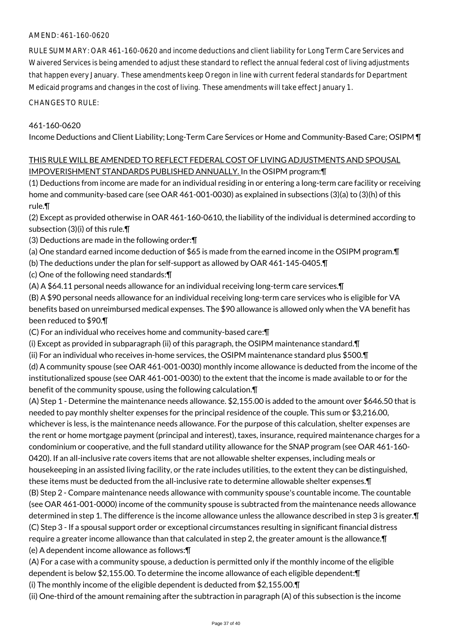## AMEND: 461-160-0620

RULE SUMMARY: OAR 461-160-0620 and income deductions and client liability for Long Term Care Services and Waivered Services is being amended to adjust these standard to reflect the annual federal cost of living adjustments that happen every January. These amendments keep Oregon in line with current federal standards for Department Medicaid programs and changes in the cost of living. These amendments will take effect January 1.

CHANGES TO RULE:

#### 461-160-0620

Income Deductions and Client Liability; Long-Term Care Services or Home and Community-Based Care; OSIPM ¶

#### THIS RULE WILL BE AMENDED TO REFLECT FEDERAL COST OF LIVING ADJUSTMENTS AND SPOUSAL IMPOVERISHMENT STANDARDS PUBLISHED ANNUALLY. In the OSIPM program:¶

(1) Deductions from income are made for an individual residing in or entering a long-term care facility or receiving home and community-based care (see OAR 461-001-0030) as explained in subsections (3)(a) to (3)(h) of this rule.¶

(2) Except as provided otherwise in OAR 461-160-0610, the liability of the individual is determined according to subsection (3)(i) of this rule.¶

- (3) Deductions are made in the following order:¶
- (a) One standard earned income deduction of \$65 is made from the earned income in the OSIPM program.¶
- (b) The deductions under the plan for self-support as allowed by OAR 461-145-0405.¶
- (c) One of the following need standards:¶

(A) A \$64.11 personal needs allowance for an individual receiving long-term care services.¶

(B) A \$90 personal needs allowance for an individual receiving long-term care services who is eligible for VA benefits based on unreimbursed medical expenses. The \$90 allowance is allowed only when the VA benefit has been reduced to \$90.¶

(C) For an individual who receives home and community-based care:¶

(i) Except as provided in subparagraph (ii) of this paragraph, the OSIPM maintenance standard.¶

(ii) For an individual who receives in-home services, the OSIPM maintenance standard plus \$500.¶

(d) A community spouse (see OAR 461-001-0030) monthly income allowance is deducted from the income of the institutionalized spouse (see OAR 461-001-0030) to the extent that the income is made available to or for the benefit of the community spouse, using the following calculation.¶

(A) Step 1 - Determine the maintenance needs allowance. \$2,155.00 is added to the amount over \$646.50 that is needed to pay monthly shelter expenses for the principal residence of the couple. This sum or \$3,216.00, whichever is less, is the maintenance needs allowance. For the purpose of this calculation, shelter expenses are the rent or home mortgage payment (principal and interest), taxes, insurance, required maintenance charges for a condominium or cooperative, and the full standard utility allowance for the SNAP program (see OAR 461-160- 0420). If an all-inclusive rate covers items that are not allowable shelter expenses, including meals or housekeeping in an assisted living facility, or the rate includes utilities, to the extent they can be distinguished, these items must be deducted from the all-inclusive rate to determine allowable shelter expenses.¶ (B) Step 2 - Compare maintenance needs allowance with community spouse's countable income. The countable (see OAR 461-001-0000) income of the community spouse is subtracted from the maintenance needs allowance determined in step 1. The difference is the income allowance unless the allowance described in step 3 is greater.¶ (C) Step 3 - If a spousal support order or exceptional circumstances resulting in significant financial distress require a greater income allowance than that calculated in step 2, the greater amount is the allowance.¶ (e) A dependent income allowance as follows:¶

(A) For a case with a community spouse, a deduction is permitted only if the monthly income of the eligible dependent is below \$2,155.00. To determine the income allowance of each eligible dependent:¶

(i) The monthly income of the eligible dependent is deducted from \$2,155.00.¶

(ii) One-third of the amount remaining after the subtraction in paragraph (A) of this subsection is the income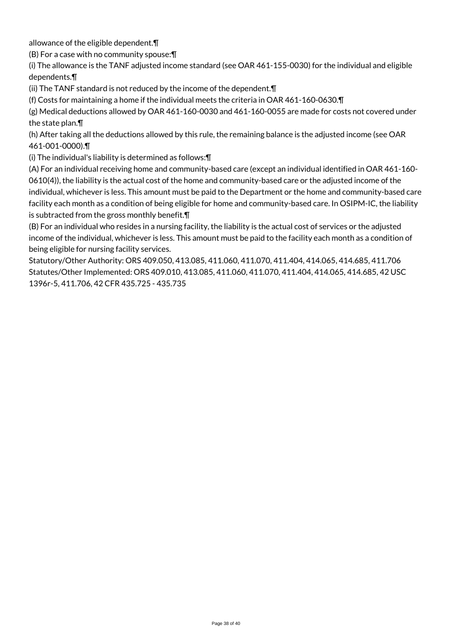allowance of the eligible dependent.¶

(B) For a case with no community spouse:¶

(i) The allowance is the TANF adjusted income standard (see OAR 461-155-0030) for the individual and eligible dependents.¶

(ii) The TANF standard is not reduced by the income of the dependent.¶

(f) Costs for maintaining a home if the individual meets the criteria in OAR 461-160-0630.¶

(g) Medical deductions allowed by OAR 461-160-0030 and 461-160-0055 are made for costs not covered under the state plan.¶

(h) After taking all the deductions allowed by this rule, the remaining balance is the adjusted income (see OAR 461-001-0000).¶

(i) The individual's liability is determined as follows:¶

(A) For an individual receiving home and community-based care (except an individual identified in OAR 461-160- 0610(4)), the liability is the actual cost of the home and community-based care or the adjusted income of the individual, whichever is less. This amount must be paid to the Department or the home and community-based care facility each month as a condition of being eligible for home and community-based care. In OSIPM-IC, the liability is subtracted from the gross monthly benefit.¶

(B) For an individual who resides in a nursing facility, the liability is the actual cost of services or the adjusted income of the individual, whichever is less. This amount must be paid to the facility each month as a condition of being eligible for nursing facility services.

Statutory/Other Authority: ORS 409.050, 413.085, 411.060, 411.070, 411.404, 414.065, 414.685, 411.706 Statutes/Other Implemented: ORS 409.010, 413.085, 411.060, 411.070, 411.404, 414.065, 414.685, 42 USC 1396r-5, 411.706, 42 CFR 435.725 - 435.735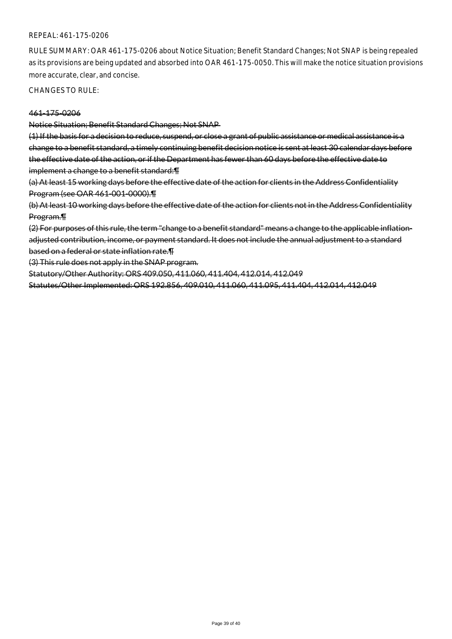#### REPEAL: 461-175-0206

RULE SUMMARY: OAR 461-175-0206 about Notice Situation; Benefit Standard Changes; Not SNAP is being repealed as its provisions are being updated and absorbed into OAR 461-175-0050. This will make the notice situation provisions more accurate, clear, and concise.

CHANGES TO RULE:

#### 461-175-0206

Notice Situation; Benefit Standard Changes; Not SNAP

(1) If the basis for a decision to reduce, suspend, or close a grant of public assistance or medical assistance is a change to a benefit standard, a timely continuing benefit decision notice is sent at least 30 calendar days before the effective date of the action, or if the Department has fewer than 60 days before the effective date to implement a change to a benefit standard:¶

(a) At least 15 working days before the effective date of the action for clients in the Address Confidentiality Program (see OAR 461-001-0000).¶

(b) At least 10 working days before the effective date of the action for clients not in the Address Confidentiality Program.¶

(2) For purposes of this rule, the term "change to a benefit standard" means a change to the applicable inflationadjusted contribution, income, or payment standard. It does not include the annual adjustment to a standard based on a federal or state inflation rate.¶

(3) This rule does not apply in the SNAP program.

Statutory/Other Authority: ORS 409.050, 411.060, 411.404, 412.014, 412.049

Statutes/Other Implemented: ORS 192.856, 409.010, 411.060, 411.095, 411.404, 412.014, 412.049